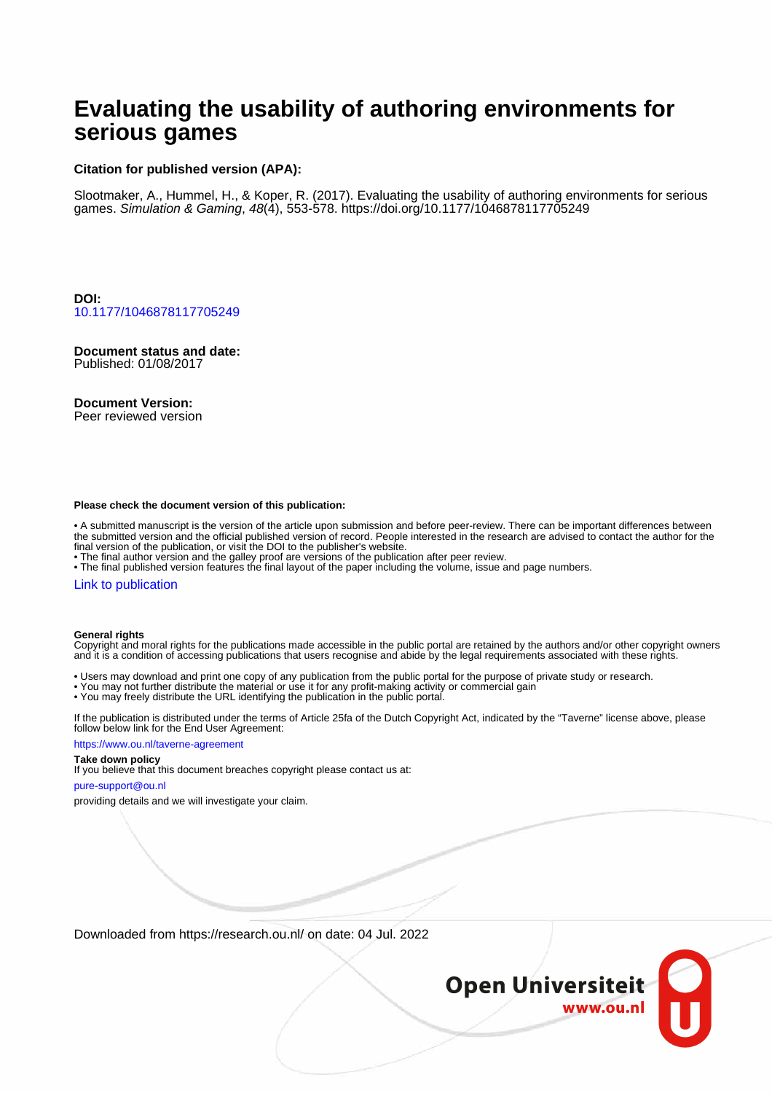# **Evaluating the usability of authoring environments for serious games**

#### **Citation for published version (APA):**

Slootmaker, A., Hummel, H., & Koper, R. (2017). Evaluating the usability of authoring environments for serious games. Simulation & Gaming, 48(4), 553-578.<https://doi.org/10.1177/1046878117705249>

**DOI:** [10.1177/1046878117705249](https://doi.org/10.1177/1046878117705249)

**Document status and date:** Published: 01/08/2017

#### **Document Version:**

Peer reviewed version

#### **Please check the document version of this publication:**

• A submitted manuscript is the version of the article upon submission and before peer-review. There can be important differences between the submitted version and the official published version of record. People interested in the research are advised to contact the author for the final version of the publication, or visit the DOI to the publisher's website.

• The final author version and the galley proof are versions of the publication after peer review.

• The final published version features the final layout of the paper including the volume, issue and page numbers.

#### [Link to publication](https://research.ou.nl/en/publications/1f264147-79d1-40cf-a978-e747048e51ad)

#### **General rights**

Copyright and moral rights for the publications made accessible in the public portal are retained by the authors and/or other copyright owners and it is a condition of accessing publications that users recognise and abide by the legal requirements associated with these rights.

- Users may download and print one copy of any publication from the public portal for the purpose of private study or research.
- You may not further distribute the material or use it for any profit-making activity or commercial gain
- You may freely distribute the URL identifying the publication in the public portal.

If the publication is distributed under the terms of Article 25fa of the Dutch Copyright Act, indicated by the "Taverne" license above, please follow below link for the End User Agreement:

#### https://www.ou.nl/taverne-agreement

#### **Take down policy**

If you believe that this document breaches copyright please contact us at:

#### pure-support@ou.nl

providing details and we will investigate your claim.

Downloaded from https://research.ou.nl/ on date: 04 Jul. 2022

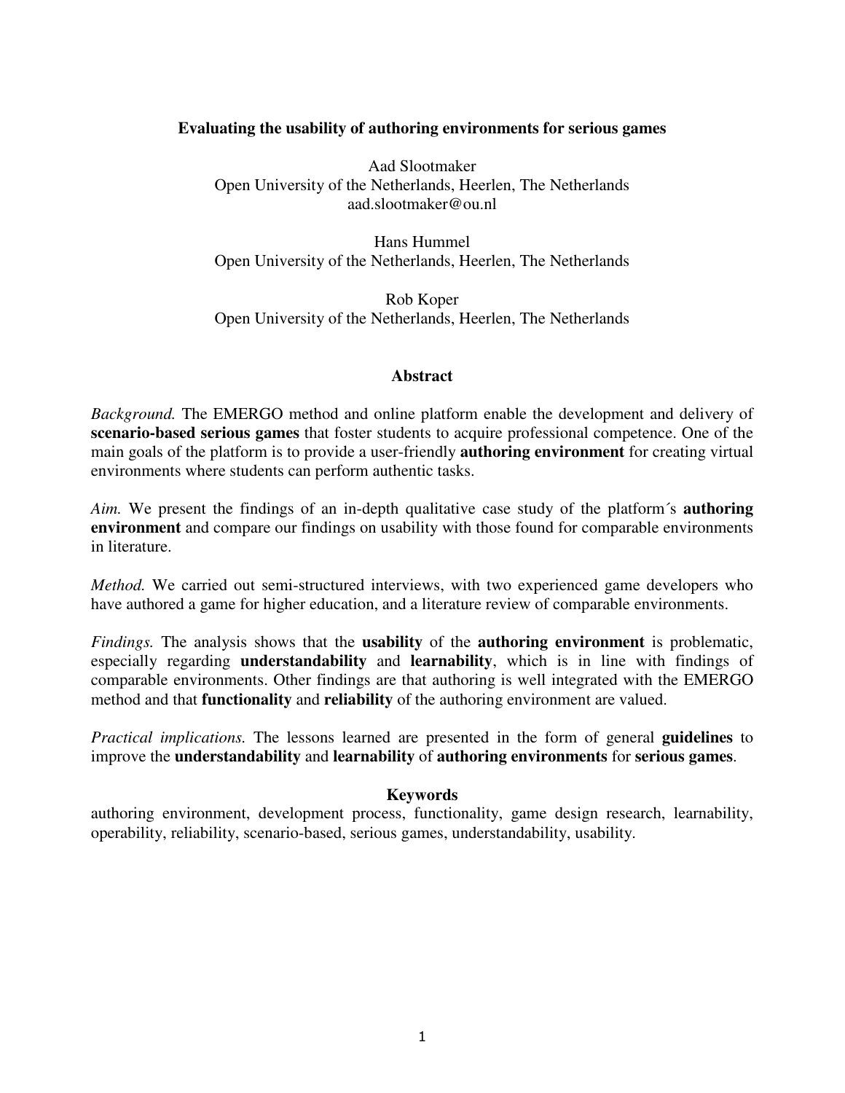# **Evaluating the usability of authoring environments for serious games**

Aad Slootmaker Open University of the Netherlands, Heerlen, The Netherlands aad.slootmaker@ou.nl

Hans Hummel Open University of the Netherlands, Heerlen, The Netherlands

Rob Koper Open University of the Netherlands, Heerlen, The Netherlands

# **Abstract**

*Background.* The EMERGO method and online platform enable the development and delivery of **scenario-based serious games** that foster students to acquire professional competence. One of the main goals of the platform is to provide a user-friendly **authoring environment** for creating virtual environments where students can perform authentic tasks.

*Aim.* We present the findings of an in-depth qualitative case study of the platform´s **authoring environment** and compare our findings on usability with those found for comparable environments in literature.

*Method.* We carried out semi-structured interviews, with two experienced game developers who have authored a game for higher education, and a literature review of comparable environments.

*Findings.* The analysis shows that the **usability** of the **authoring environment** is problematic, especially regarding **understandability** and **learnability**, which is in line with findings of comparable environments. Other findings are that authoring is well integrated with the EMERGO method and that **functionality** and **reliability** of the authoring environment are valued.

*Practical implications.* The lessons learned are presented in the form of general **guidelines** to improve the **understandability** and **learnability** of **authoring environments** for **serious games**.

# **Keywords**

authoring environment, development process, functionality, game design research, learnability, operability, reliability, scenario-based, serious games, understandability, usability.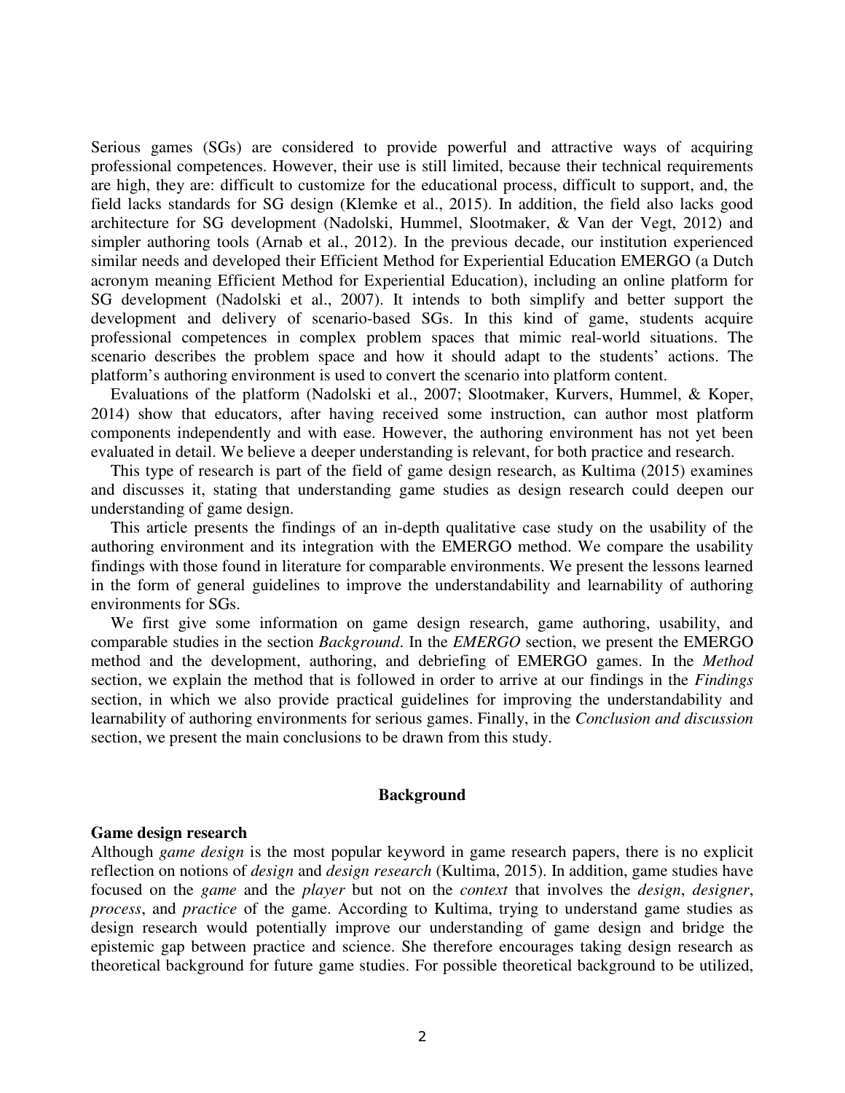Serious games (SGs) are considered to provide powerful and attractive ways of acquiring professional competences. However, their use is still limited, because their technical requirements are high, they are: difficult to customize for the educational process, difficult to support, and, the field lacks standards for SG design (Klemke et al., 2015). In addition, the field also lacks good architecture for SG development (Nadolski, Hummel, Slootmaker, & Van der Vegt, 2012) and simpler authoring tools (Arnab et al., 2012). In the previous decade, our institution experienced similar needs and developed their Efficient Method for Experiential Education EMERGO (a Dutch acronym meaning Efficient Method for Experiential Education), including an online platform for SG development (Nadolski et al., 2007). It intends to both simplify and better support the development and delivery of scenario-based SGs. In this kind of game, students acquire professional competences in complex problem spaces that mimic real-world situations. The scenario describes the problem space and how it should adapt to the students' actions. The platform's authoring environment is used to convert the scenario into platform content.

Evaluations of the platform (Nadolski et al., 2007; Slootmaker, Kurvers, Hummel, & Koper, 2014) show that educators, after having received some instruction, can author most platform components independently and with ease. However, the authoring environment has not yet been evaluated in detail. We believe a deeper understanding is relevant, for both practice and research.

This type of research is part of the field of game design research, as Kultima (2015) examines and discusses it, stating that understanding game studies as design research could deepen our understanding of game design.

This article presents the findings of an in-depth qualitative case study on the usability of the authoring environment and its integration with the EMERGO method. We compare the usability findings with those found in literature for comparable environments. We present the lessons learned in the form of general guidelines to improve the understandability and learnability of authoring environments for SGs.

We first give some information on game design research, game authoring, usability, and comparable studies in the section *Background*. In the *EMERGO* section, we present the EMERGO method and the development, authoring, and debriefing of EMERGO games. In the *Method* section, we explain the method that is followed in order to arrive at our findings in the *Findings* section, in which we also provide practical guidelines for improving the understandability and learnability of authoring environments for serious games. Finally, in the *Conclusion and discussion* section, we present the main conclusions to be drawn from this study.

#### **Background**

#### **Game design research**

Although *game design* is the most popular keyword in game research papers, there is no explicit reflection on notions of *design* and *design research* (Kultima, 2015). In addition, game studies have focused on the *game* and the *player* but not on the *context* that involves the *design*, *designer*, *process*, and *practice* of the game. According to Kultima, trying to understand game studies as design research would potentially improve our understanding of game design and bridge the epistemic gap between practice and science. She therefore encourages taking design research as theoretical background for future game studies. For possible theoretical background to be utilized,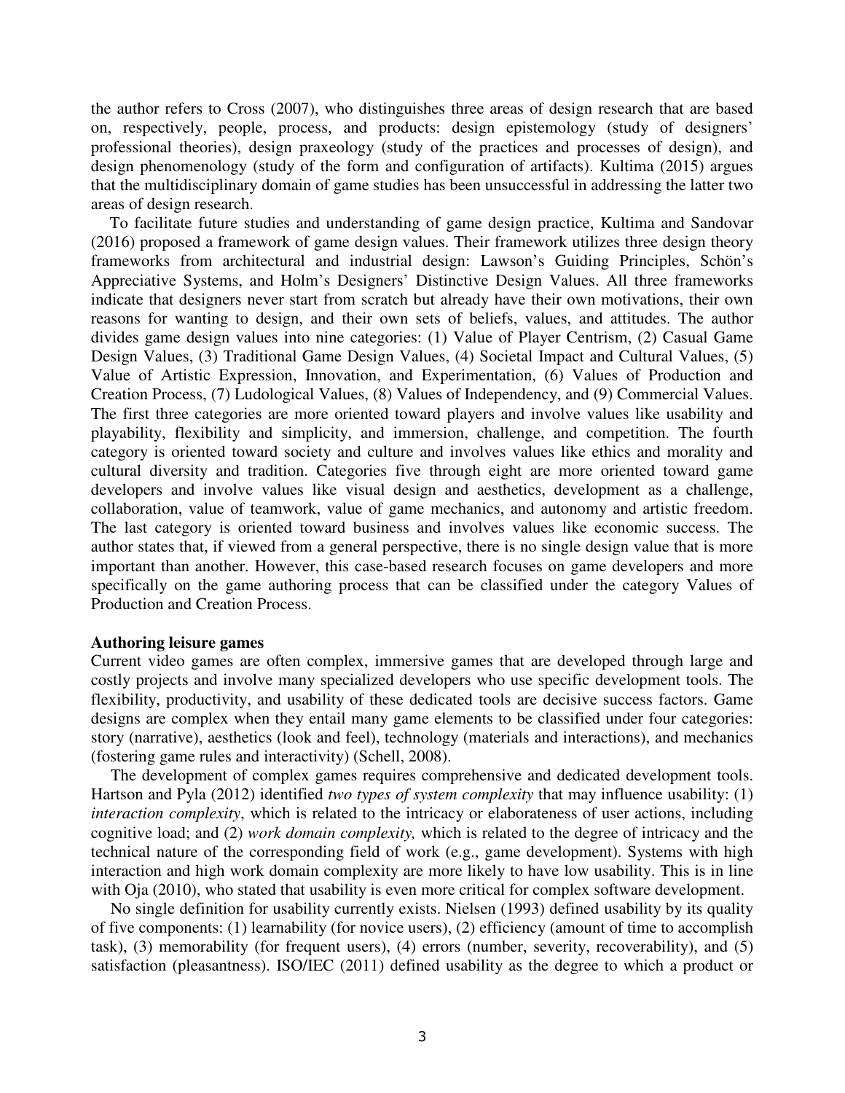the author refers to Cross (2007), who distinguishes three areas of design research that are based on, respectively, people, process, and products: design epistemology (study of designers' professional theories), design praxeology (study of the practices and processes of design), and design phenomenology (study of the form and configuration of artifacts). Kultima (2015) argues that the multidisciplinary domain of game studies has been unsuccessful in addressing the latter two areas of design research.

To facilitate future studies and understanding of game design practice, Kultima and Sandovar (2016) proposed a framework of game design values. Their framework utilizes three design theory frameworks from architectural and industrial design: Lawson's Guiding Principles, Schön's Appreciative Systems, and Holm's Designers' Distinctive Design Values. All three frameworks indicate that designers never start from scratch but already have their own motivations, their own reasons for wanting to design, and their own sets of beliefs, values, and attitudes. The author divides game design values into nine categories: (1) Value of Player Centrism, (2) Casual Game Design Values, (3) Traditional Game Design Values, (4) Societal Impact and Cultural Values, (5) Value of Artistic Expression, Innovation, and Experimentation, (6) Values of Production and Creation Process, (7) Ludological Values, (8) Values of Independency, and (9) Commercial Values. The first three categories are more oriented toward players and involve values like usability and playability, flexibility and simplicity, and immersion, challenge, and competition. The fourth category is oriented toward society and culture and involves values like ethics and morality and cultural diversity and tradition. Categories five through eight are more oriented toward game developers and involve values like visual design and aesthetics, development as a challenge, collaboration, value of teamwork, value of game mechanics, and autonomy and artistic freedom. The last category is oriented toward business and involves values like economic success. The author states that, if viewed from a general perspective, there is no single design value that is more important than another. However, this case-based research focuses on game developers and more specifically on the game authoring process that can be classified under the category Values of Production and Creation Process.

### **Authoring leisure games**

Current video games are often complex, immersive games that are developed through large and costly projects and involve many specialized developers who use specific development tools. The flexibility, productivity, and usability of these dedicated tools are decisive success factors. Game designs are complex when they entail many game elements to be classified under four categories: story (narrative), aesthetics (look and feel), technology (materials and interactions), and mechanics (fostering game rules and interactivity) (Schell, 2008).

The development of complex games requires comprehensive and dedicated development tools. Hartson and Pyla (2012) identified *two types of system complexity* that may influence usability: (1) *interaction complexity*, which is related to the intricacy or elaborateness of user actions, including cognitive load; and (2) *work domain complexity,* which is related to the degree of intricacy and the technical nature of the corresponding field of work (e.g., game development). Systems with high interaction and high work domain complexity are more likely to have low usability. This is in line with Oja (2010), who stated that usability is even more critical for complex software development.

No single definition for usability currently exists. Nielsen (1993) defined usability by its quality of five components: (1) learnability (for novice users), (2) efficiency (amount of time to accomplish task), (3) memorability (for frequent users), (4) errors (number, severity, recoverability), and (5) satisfaction (pleasantness). ISO/IEC (2011) defined usability as the degree to which a product or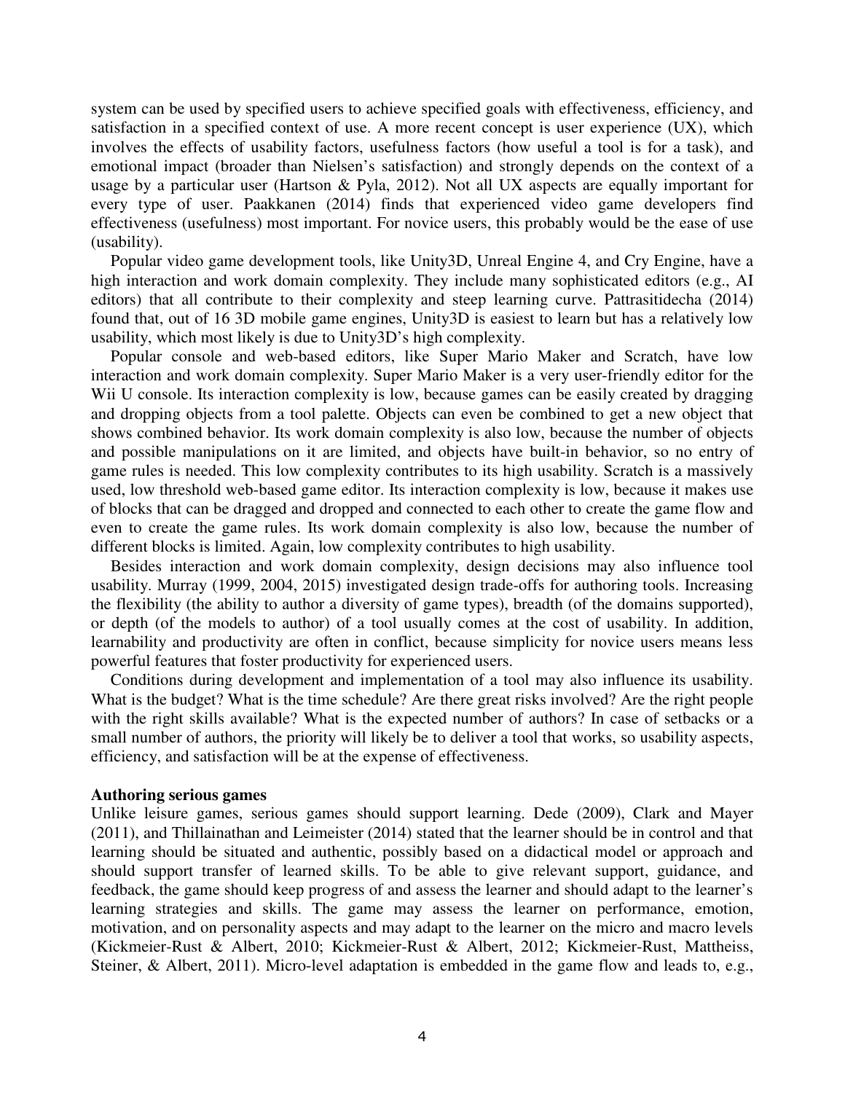system can be used by specified users to achieve specified goals with effectiveness, efficiency, and satisfaction in a specified context of use. A more recent concept is user experience (UX), which involves the effects of usability factors, usefulness factors (how useful a tool is for a task), and emotional impact (broader than Nielsen's satisfaction) and strongly depends on the context of a usage by a particular user (Hartson & Pyla, 2012). Not all UX aspects are equally important for every type of user. Paakkanen (2014) finds that experienced video game developers find effectiveness (usefulness) most important. For novice users, this probably would be the ease of use (usability).

Popular video game development tools, like Unity3D, Unreal Engine 4, and Cry Engine, have a high interaction and work domain complexity. They include many sophisticated editors (e.g., AI editors) that all contribute to their complexity and steep learning curve. Pattrasitidecha (2014) found that, out of 16 3D mobile game engines, Unity3D is easiest to learn but has a relatively low usability, which most likely is due to Unity3D's high complexity.

Popular console and web-based editors, like Super Mario Maker and Scratch, have low interaction and work domain complexity. Super Mario Maker is a very user-friendly editor for the Wii U console. Its interaction complexity is low, because games can be easily created by dragging and dropping objects from a tool palette. Objects can even be combined to get a new object that shows combined behavior. Its work domain complexity is also low, because the number of objects and possible manipulations on it are limited, and objects have built-in behavior, so no entry of game rules is needed. This low complexity contributes to its high usability. Scratch is a massively used, low threshold web-based game editor. Its interaction complexity is low, because it makes use of blocks that can be dragged and dropped and connected to each other to create the game flow and even to create the game rules. Its work domain complexity is also low, because the number of different blocks is limited. Again, low complexity contributes to high usability.

Besides interaction and work domain complexity, design decisions may also influence tool usability. Murray (1999, 2004, 2015) investigated design trade-offs for authoring tools. Increasing the flexibility (the ability to author a diversity of game types), breadth (of the domains supported), or depth (of the models to author) of a tool usually comes at the cost of usability. In addition, learnability and productivity are often in conflict, because simplicity for novice users means less powerful features that foster productivity for experienced users.

Conditions during development and implementation of a tool may also influence its usability. What is the budget? What is the time schedule? Are there great risks involved? Are the right people with the right skills available? What is the expected number of authors? In case of setbacks or a small number of authors, the priority will likely be to deliver a tool that works, so usability aspects, efficiency, and satisfaction will be at the expense of effectiveness.

#### **Authoring serious games**

Unlike leisure games, serious games should support learning. Dede (2009), Clark and Mayer (2011), and Thillainathan and Leimeister (2014) stated that the learner should be in control and that learning should be situated and authentic, possibly based on a didactical model or approach and should support transfer of learned skills. To be able to give relevant support, guidance, and feedback, the game should keep progress of and assess the learner and should adapt to the learner's learning strategies and skills. The game may assess the learner on performance, emotion, motivation, and on personality aspects and may adapt to the learner on the micro and macro levels (Kickmeier-Rust & Albert, 2010; Kickmeier-Rust & Albert, 2012; Kickmeier-Rust, Mattheiss, Steiner, & Albert, 2011). Micro-level adaptation is embedded in the game flow and leads to, e.g.,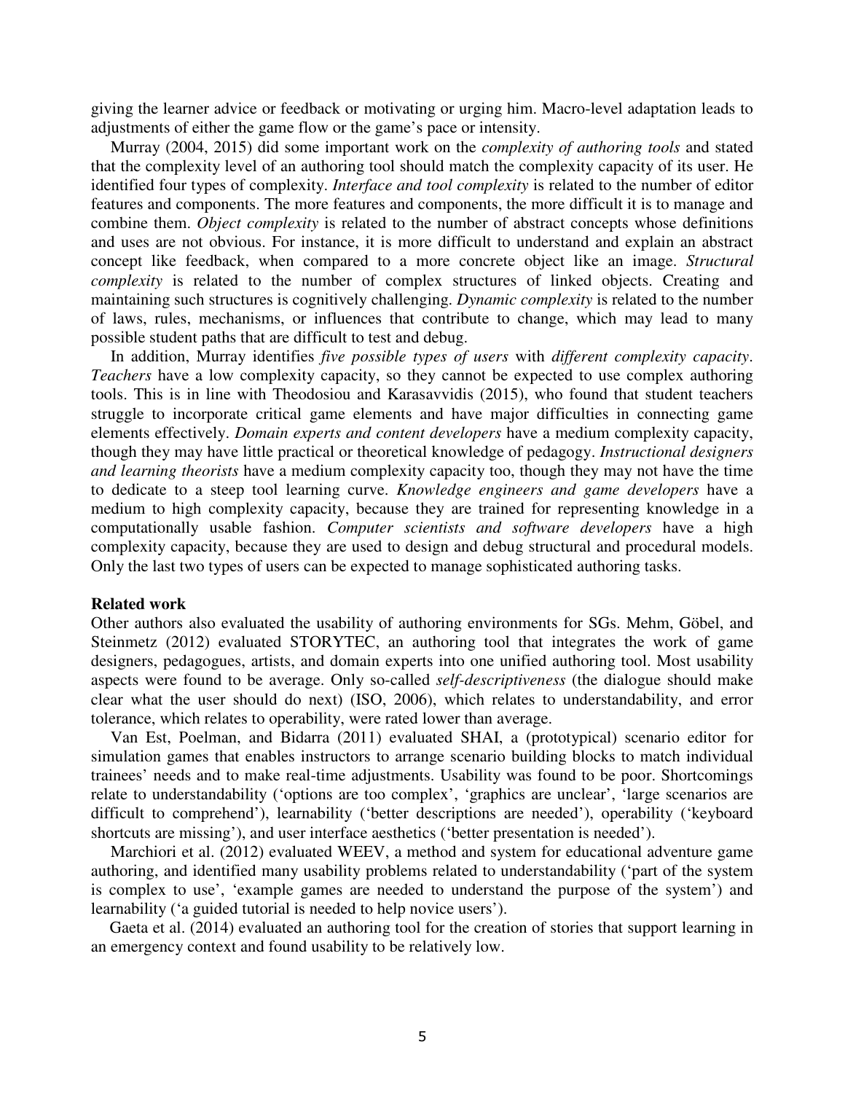giving the learner advice or feedback or motivating or urging him. Macro-level adaptation leads to adjustments of either the game flow or the game's pace or intensity.

Murray (2004, 2015) did some important work on the *complexity of authoring tools* and stated that the complexity level of an authoring tool should match the complexity capacity of its user. He identified four types of complexity. *Interface and tool complexity* is related to the number of editor features and components. The more features and components, the more difficult it is to manage and combine them. *Object complexity* is related to the number of abstract concepts whose definitions and uses are not obvious. For instance, it is more difficult to understand and explain an abstract concept like feedback, when compared to a more concrete object like an image. *Structural complexity* is related to the number of complex structures of linked objects. Creating and maintaining such structures is cognitively challenging. *Dynamic complexity* is related to the number of laws, rules, mechanisms, or influences that contribute to change, which may lead to many possible student paths that are difficult to test and debug.

In addition, Murray identifies *five possible types of users* with *different complexity capacity*. *Teachers* have a low complexity capacity, so they cannot be expected to use complex authoring tools. This is in line with Theodosiou and Karasavvidis (2015), who found that student teachers struggle to incorporate critical game elements and have major difficulties in connecting game elements effectively. *Domain experts and content developers* have a medium complexity capacity, though they may have little practical or theoretical knowledge of pedagogy. *Instructional designers and learning theorists* have a medium complexity capacity too, though they may not have the time to dedicate to a steep tool learning curve. *Knowledge engineers and game developers* have a medium to high complexity capacity, because they are trained for representing knowledge in a computationally usable fashion. *Computer scientists and software developers* have a high complexity capacity, because they are used to design and debug structural and procedural models. Only the last two types of users can be expected to manage sophisticated authoring tasks.

#### **Related work**

Other authors also evaluated the usability of authoring environments for SGs. Mehm, Göbel, and Steinmetz (2012) evaluated STORYTEC, an authoring tool that integrates the work of game designers, pedagogues, artists, and domain experts into one unified authoring tool. Most usability aspects were found to be average. Only so-called *self-descriptiveness* (the dialogue should make clear what the user should do next) (ISO, 2006), which relates to understandability, and error tolerance, which relates to operability, were rated lower than average.

Van Est, Poelman, and Bidarra (2011) evaluated SHAI, a (prototypical) scenario editor for simulation games that enables instructors to arrange scenario building blocks to match individual trainees' needs and to make real-time adjustments. Usability was found to be poor. Shortcomings relate to understandability ('options are too complex', 'graphics are unclear', 'large scenarios are difficult to comprehend'), learnability ('better descriptions are needed'), operability ('keyboard shortcuts are missing'), and user interface aesthetics ('better presentation is needed').

Marchiori et al. (2012) evaluated WEEV, a method and system for educational adventure game authoring, and identified many usability problems related to understandability ('part of the system is complex to use', 'example games are needed to understand the purpose of the system') and learnability ('a guided tutorial is needed to help novice users').

Gaeta et al. (2014) evaluated an authoring tool for the creation of stories that support learning in an emergency context and found usability to be relatively low.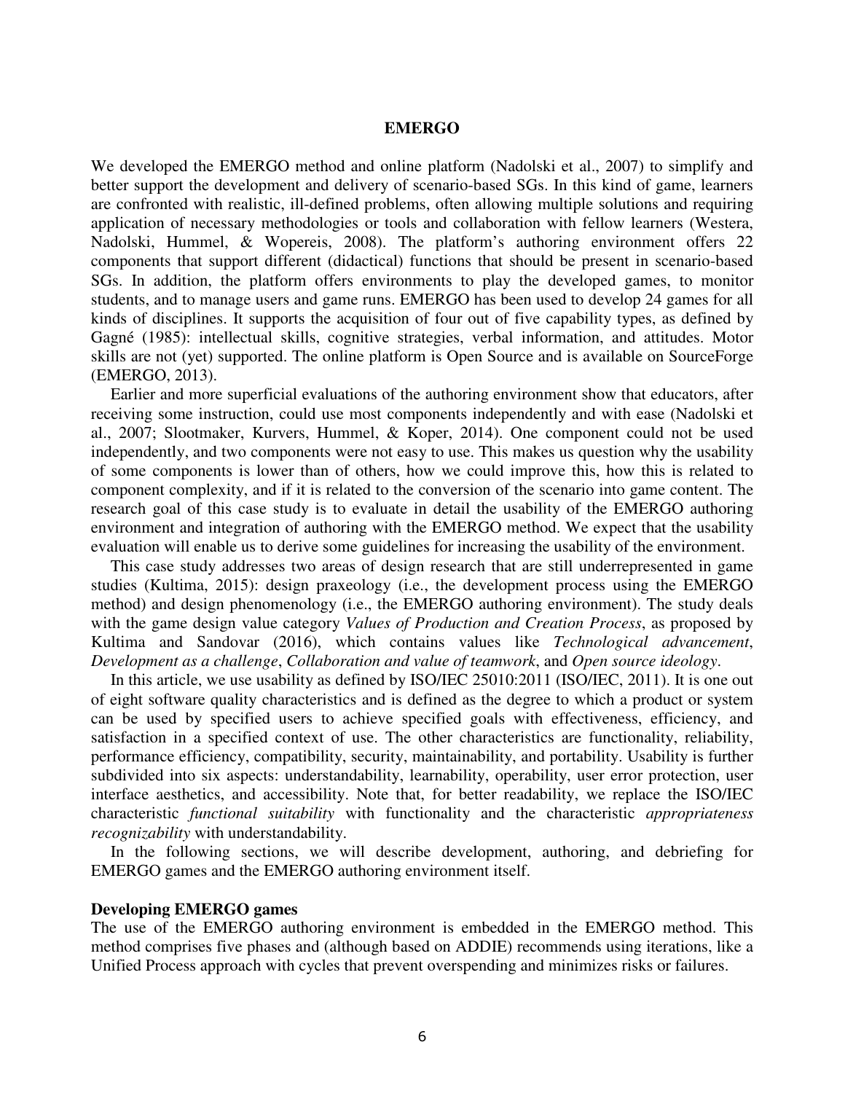#### **EMERGO**

We developed the EMERGO method and online platform (Nadolski et al., 2007) to simplify and better support the development and delivery of scenario-based SGs. In this kind of game, learners are confronted with realistic, ill-defined problems, often allowing multiple solutions and requiring application of necessary methodologies or tools and collaboration with fellow learners (Westera, Nadolski, Hummel, & Wopereis, 2008). The platform's authoring environment offers 22 components that support different (didactical) functions that should be present in scenario-based SGs. In addition, the platform offers environments to play the developed games, to monitor students, and to manage users and game runs. EMERGO has been used to develop 24 games for all kinds of disciplines. It supports the acquisition of four out of five capability types, as defined by Gagné (1985): intellectual skills, cognitive strategies, verbal information, and attitudes. Motor skills are not (yet) supported. The online platform is Open Source and is available on SourceForge (EMERGO, 2013).

Earlier and more superficial evaluations of the authoring environment show that educators, after receiving some instruction, could use most components independently and with ease (Nadolski et al., 2007; Slootmaker, Kurvers, Hummel, & Koper, 2014). One component could not be used independently, and two components were not easy to use. This makes us question why the usability of some components is lower than of others, how we could improve this, how this is related to component complexity, and if it is related to the conversion of the scenario into game content. The research goal of this case study is to evaluate in detail the usability of the EMERGO authoring environment and integration of authoring with the EMERGO method. We expect that the usability evaluation will enable us to derive some guidelines for increasing the usability of the environment.

This case study addresses two areas of design research that are still underrepresented in game studies (Kultima, 2015): design praxeology (i.e., the development process using the EMERGO method) and design phenomenology (i.e., the EMERGO authoring environment). The study deals with the game design value category *Values of Production and Creation Process*, as proposed by Kultima and Sandovar (2016), which contains values like *Technological advancement*, *Development as a challenge*, *Collaboration and value of teamwork*, and *Open source ideology*.

In this article, we use usability as defined by ISO/IEC 25010:2011 (ISO/IEC, 2011). It is one out of eight software quality characteristics and is defined as the degree to which a product or system can be used by specified users to achieve specified goals with effectiveness, efficiency, and satisfaction in a specified context of use. The other characteristics are functionality, reliability, performance efficiency, compatibility, security, maintainability, and portability. Usability is further subdivided into six aspects: understandability, learnability, operability, user error protection, user interface aesthetics, and accessibility. Note that, for better readability, we replace the ISO/IEC characteristic *functional suitability* with functionality and the characteristic *appropriateness recognizability* with understandability.

In the following sections, we will describe development, authoring, and debriefing for EMERGO games and the EMERGO authoring environment itself.

#### **Developing EMERGO games**

The use of the EMERGO authoring environment is embedded in the EMERGO method. This method comprises five phases and (although based on ADDIE) recommends using iterations, like a Unified Process approach with cycles that prevent overspending and minimizes risks or failures.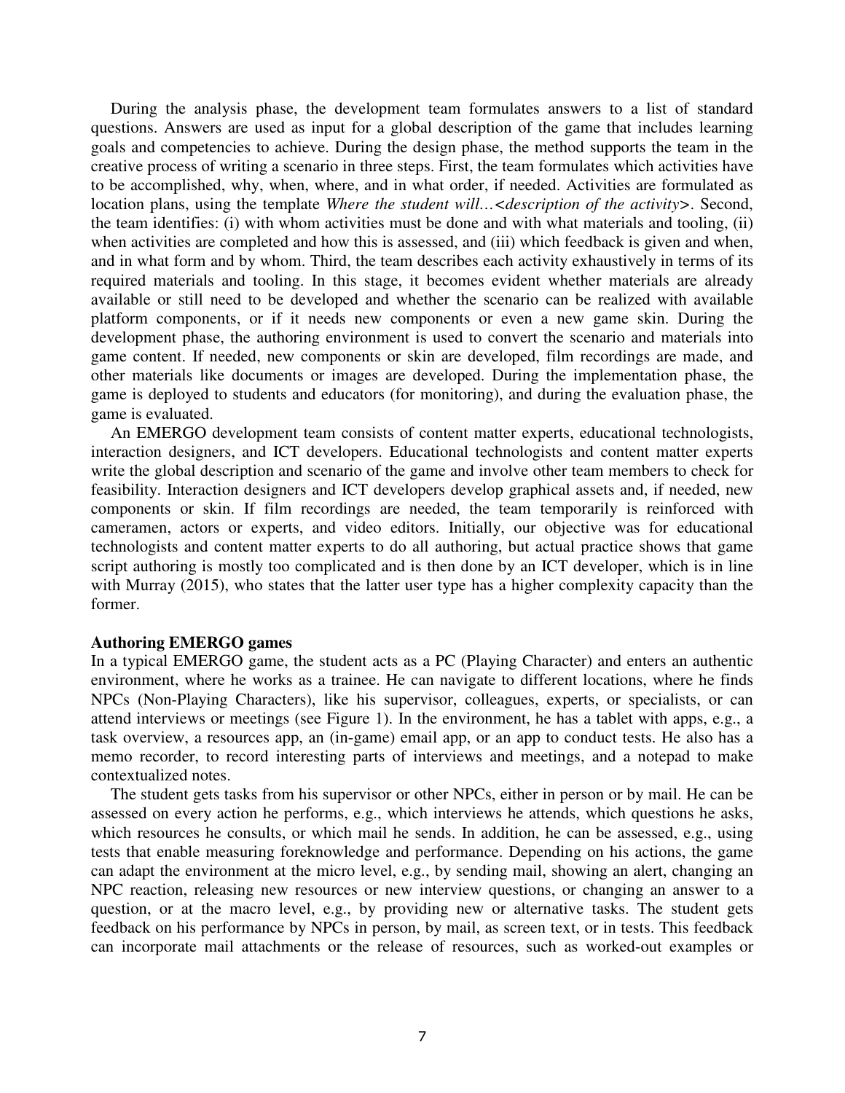During the analysis phase, the development team formulates answers to a list of standard questions. Answers are used as input for a global description of the game that includes learning goals and competencies to achieve. During the design phase, the method supports the team in the creative process of writing a scenario in three steps. First, the team formulates which activities have to be accomplished, why, when, where, and in what order, if needed. Activities are formulated as location plans, using the template *Where the student will…<description of the activity>*. Second, the team identifies: (i) with whom activities must be done and with what materials and tooling, (ii) when activities are completed and how this is assessed, and (iii) which feedback is given and when, and in what form and by whom. Third, the team describes each activity exhaustively in terms of its required materials and tooling. In this stage, it becomes evident whether materials are already available or still need to be developed and whether the scenario can be realized with available platform components, or if it needs new components or even a new game skin. During the development phase, the authoring environment is used to convert the scenario and materials into game content. If needed, new components or skin are developed, film recordings are made, and other materials like documents or images are developed. During the implementation phase, the game is deployed to students and educators (for monitoring), and during the evaluation phase, the game is evaluated.

An EMERGO development team consists of content matter experts, educational technologists, interaction designers, and ICT developers. Educational technologists and content matter experts write the global description and scenario of the game and involve other team members to check for feasibility. Interaction designers and ICT developers develop graphical assets and, if needed, new components or skin. If film recordings are needed, the team temporarily is reinforced with cameramen, actors or experts, and video editors. Initially, our objective was for educational technologists and content matter experts to do all authoring, but actual practice shows that game script authoring is mostly too complicated and is then done by an ICT developer, which is in line with Murray (2015), who states that the latter user type has a higher complexity capacity than the former.

#### **Authoring EMERGO games**

In a typical EMERGO game, the student acts as a PC (Playing Character) and enters an authentic environment, where he works as a trainee. He can navigate to different locations, where he finds NPCs (Non-Playing Characters), like his supervisor, colleagues, experts, or specialists, or can attend interviews or meetings (see Figure 1). In the environment, he has a tablet with apps, e.g., a task overview, a resources app, an (in-game) email app, or an app to conduct tests. He also has a memo recorder, to record interesting parts of interviews and meetings, and a notepad to make contextualized notes.

The student gets tasks from his supervisor or other NPCs, either in person or by mail. He can be assessed on every action he performs, e.g., which interviews he attends, which questions he asks, which resources he consults, or which mail he sends. In addition, he can be assessed, e.g., using tests that enable measuring foreknowledge and performance. Depending on his actions, the game can adapt the environment at the micro level, e.g., by sending mail, showing an alert, changing an NPC reaction, releasing new resources or new interview questions, or changing an answer to a question, or at the macro level, e.g., by providing new or alternative tasks. The student gets feedback on his performance by NPCs in person, by mail, as screen text, or in tests. This feedback can incorporate mail attachments or the release of resources, such as worked-out examples or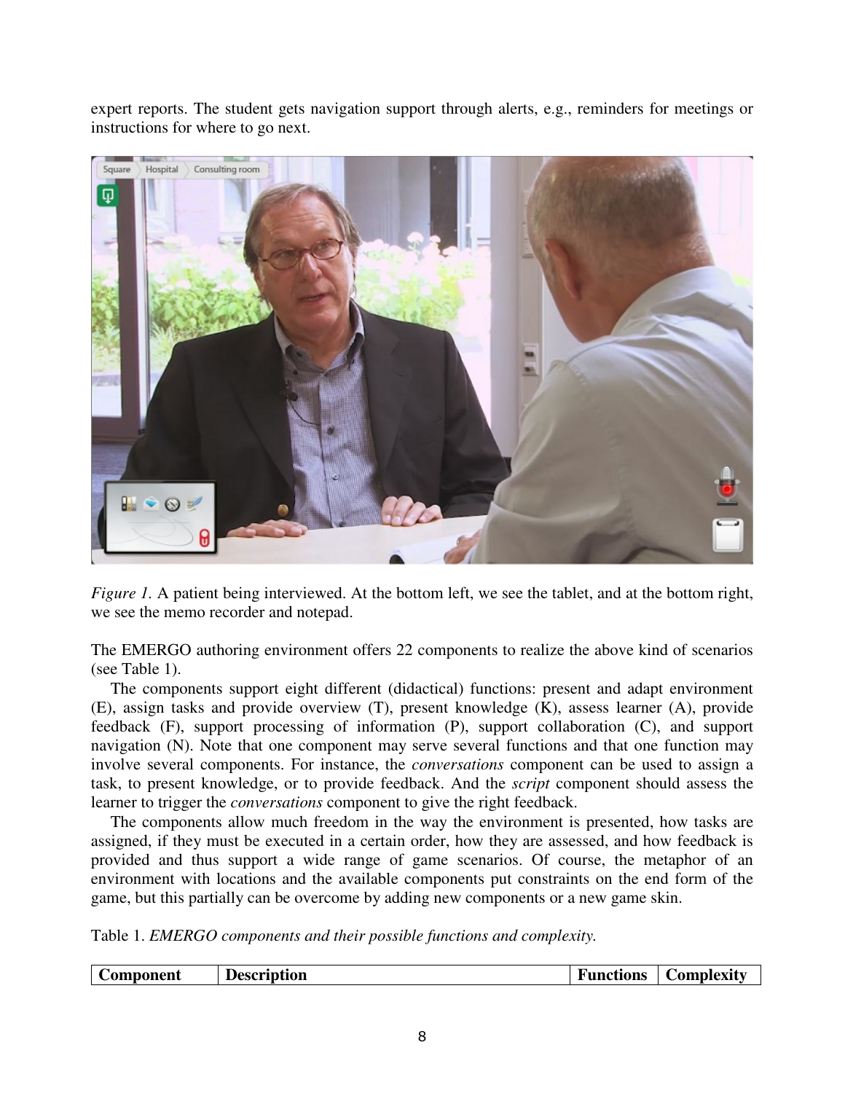expert reports. The student gets navigation support through alerts, e.g., reminders for meetings or instructions for where to go next.



*Figure 1.* A patient being interviewed. At the bottom left, we see the tablet, and at the bottom right, we see the memo recorder and notepad.

The EMERGO authoring environment offers 22 components to realize the above kind of scenarios (see Table 1).

The components support eight different (didactical) functions: present and adapt environment (E), assign tasks and provide overview (T), present knowledge (K), assess learner (A), provide feedback (F), support processing of information (P), support collaboration (C), and support navigation (N). Note that one component may serve several functions and that one function may involve several components. For instance, the *conversations* component can be used to assign a task, to present knowledge, or to provide feedback. And the *script* component should assess the learner to trigger the *conversations* component to give the right feedback.

The components allow much freedom in the way the environment is presented, how tasks are assigned, if they must be executed in a certain order, how they are assessed, and how feedback is provided and thus support a wide range of game scenarios. Of course, the metaphor of an environment with locations and the available components put constraints on the end form of the game, but this partially can be overcome by adding new components or a new game skin.

Table 1. *EMERGO components and their possible functions and complexity.*

|  | <b>Component</b> | <b>Description</b> | <b>Functions</b> | Complexity |
|--|------------------|--------------------|------------------|------------|
|--|------------------|--------------------|------------------|------------|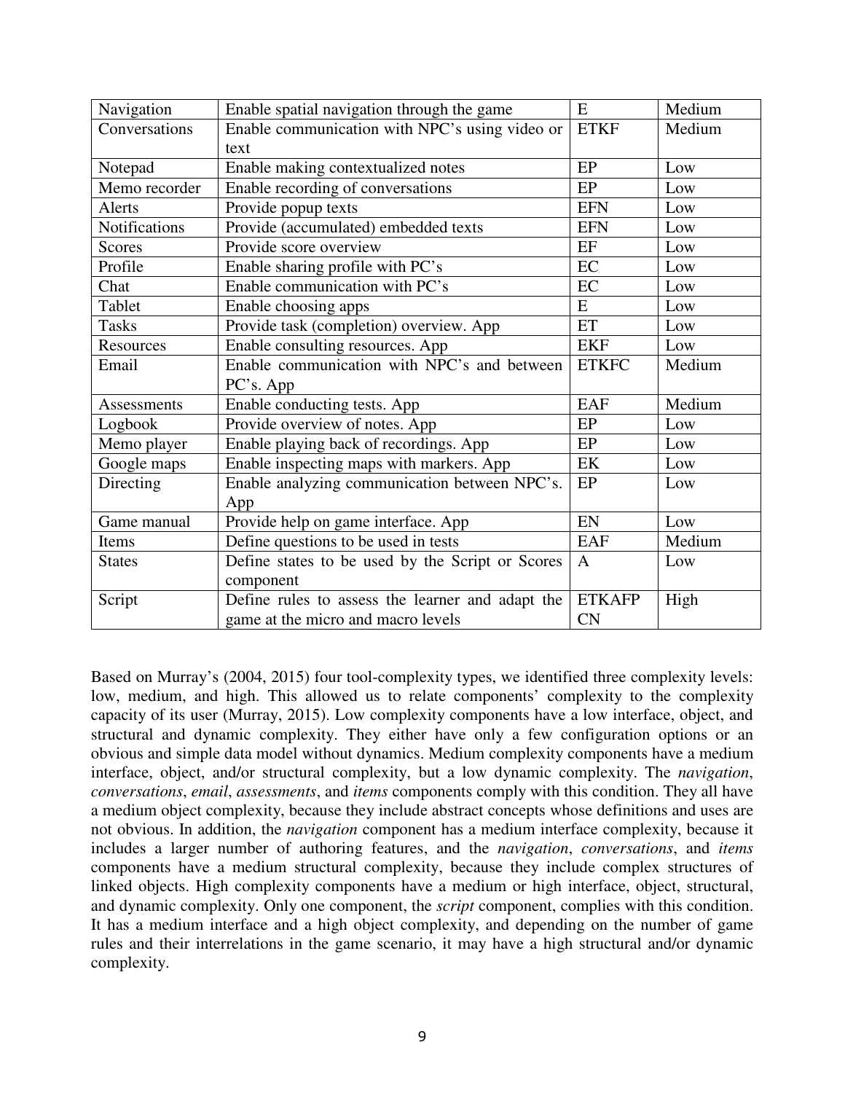| Navigation         | Enable spatial navigation through the game       | E                          | Medium |
|--------------------|--------------------------------------------------|----------------------------|--------|
| Conversations      | Enable communication with NPC's using video or   | <b>ETKF</b>                | Medium |
|                    | text                                             |                            |        |
| Notepad            | Enable making contextualized notes               | EP                         | Low    |
| Memo recorder      | Enable recording of conversations                | EP                         | Low    |
| Alerts             | Provide popup texts                              | <b>EFN</b>                 | Low    |
| Notifications      | Provide (accumulated) embedded texts             | <b>EFN</b>                 | Low    |
| <b>Scores</b>      | Provide score overview                           | EF                         | Low    |
| Profile            | Enable sharing profile with PC's                 | EC                         | Low    |
| Chat               | Enable communication with PC's                   | EC                         | Low    |
| Tablet             | Enable choosing apps                             | E                          | Low    |
| <b>Tasks</b>       | Provide task (completion) overview. App          | ET                         | Low    |
| Resources          | Enable consulting resources. App                 | <b>EKF</b>                 | Low    |
| Email              | Enable communication with NPC's and between      | <b>ETKFC</b>               | Medium |
|                    | PC's. App                                        |                            |        |
| <b>Assessments</b> | Enable conducting tests. App                     | EAF                        | Medium |
| Logbook            | Provide overview of notes. App                   | EP                         | Low    |
| Memo player        | Enable playing back of recordings. App           | EP                         | Low    |
| Google maps        | Enable inspecting maps with markers. App         | EK                         | Low    |
| Directing          | Enable analyzing communication between NPC's.    | EP                         | Low    |
|                    | App                                              |                            |        |
| Game manual        | Provide help on game interface. App              | $\mathop{\rm EN}\nolimits$ | Low    |
| Items              | Define questions to be used in tests             | <b>EAF</b>                 | Medium |
| <b>States</b>      | Define states to be used by the Script or Scores | $\mathbf{A}$               | Low    |
|                    | component                                        |                            |        |
| Script             | Define rules to assess the learner and adapt the | <b>ETKAFP</b>              | High   |
|                    | game at the micro and macro levels               | CN                         |        |

Based on Murray's (2004, 2015) four tool-complexity types, we identified three complexity levels: low, medium, and high. This allowed us to relate components' complexity to the complexity capacity of its user (Murray, 2015). Low complexity components have a low interface, object, and structural and dynamic complexity. They either have only a few configuration options or an obvious and simple data model without dynamics. Medium complexity components have a medium interface, object, and/or structural complexity, but a low dynamic complexity. The *navigation*, *conversations*, *email*, *assessments*, and *items* components comply with this condition. They all have a medium object complexity, because they include abstract concepts whose definitions and uses are not obvious. In addition, the *navigation* component has a medium interface complexity, because it includes a larger number of authoring features, and the *navigation*, *conversations*, and *items* components have a medium structural complexity, because they include complex structures of linked objects. High complexity components have a medium or high interface, object, structural, and dynamic complexity. Only one component, the *script* component, complies with this condition. It has a medium interface and a high object complexity, and depending on the number of game rules and their interrelations in the game scenario, it may have a high structural and/or dynamic complexity.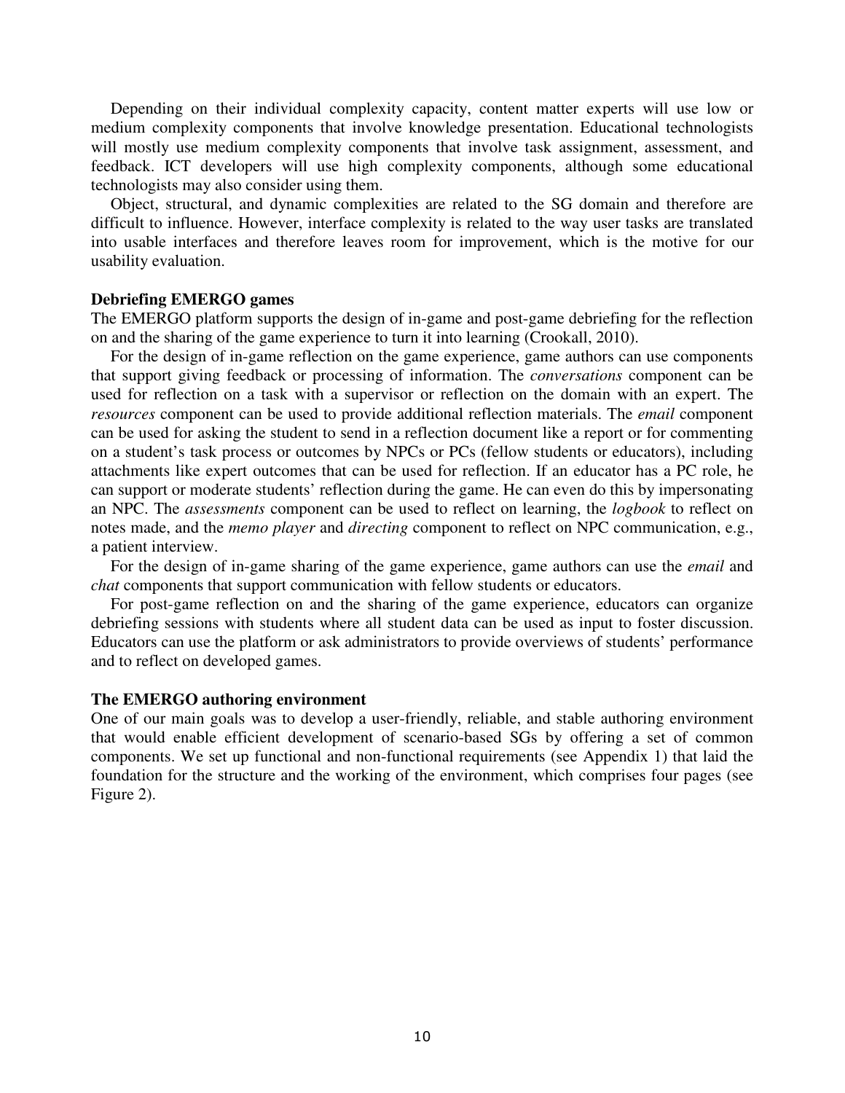Depending on their individual complexity capacity, content matter experts will use low or medium complexity components that involve knowledge presentation. Educational technologists will mostly use medium complexity components that involve task assignment, assessment, and feedback. ICT developers will use high complexity components, although some educational technologists may also consider using them.

Object, structural, and dynamic complexities are related to the SG domain and therefore are difficult to influence. However, interface complexity is related to the way user tasks are translated into usable interfaces and therefore leaves room for improvement, which is the motive for our usability evaluation.

#### **Debriefing EMERGO games**

The EMERGO platform supports the design of in-game and post-game debriefing for the reflection on and the sharing of the game experience to turn it into learning (Crookall, 2010).

For the design of in-game reflection on the game experience, game authors can use components that support giving feedback or processing of information. The *conversations* component can be used for reflection on a task with a supervisor or reflection on the domain with an expert. The *resources* component can be used to provide additional reflection materials. The *email* component can be used for asking the student to send in a reflection document like a report or for commenting on a student's task process or outcomes by NPCs or PCs (fellow students or educators), including attachments like expert outcomes that can be used for reflection. If an educator has a PC role, he can support or moderate students' reflection during the game. He can even do this by impersonating an NPC. The *assessments* component can be used to reflect on learning, the *logbook* to reflect on notes made, and the *memo player* and *directing* component to reflect on NPC communication, e.g., a patient interview.

For the design of in-game sharing of the game experience, game authors can use the *email* and *chat* components that support communication with fellow students or educators.

For post-game reflection on and the sharing of the game experience, educators can organize debriefing sessions with students where all student data can be used as input to foster discussion. Educators can use the platform or ask administrators to provide overviews of students' performance and to reflect on developed games.

#### **The EMERGO authoring environment**

One of our main goals was to develop a user-friendly, reliable, and stable authoring environment that would enable efficient development of scenario-based SGs by offering a set of common components. We set up functional and non-functional requirements (see Appendix 1) that laid the foundation for the structure and the working of the environment, which comprises four pages (see Figure 2).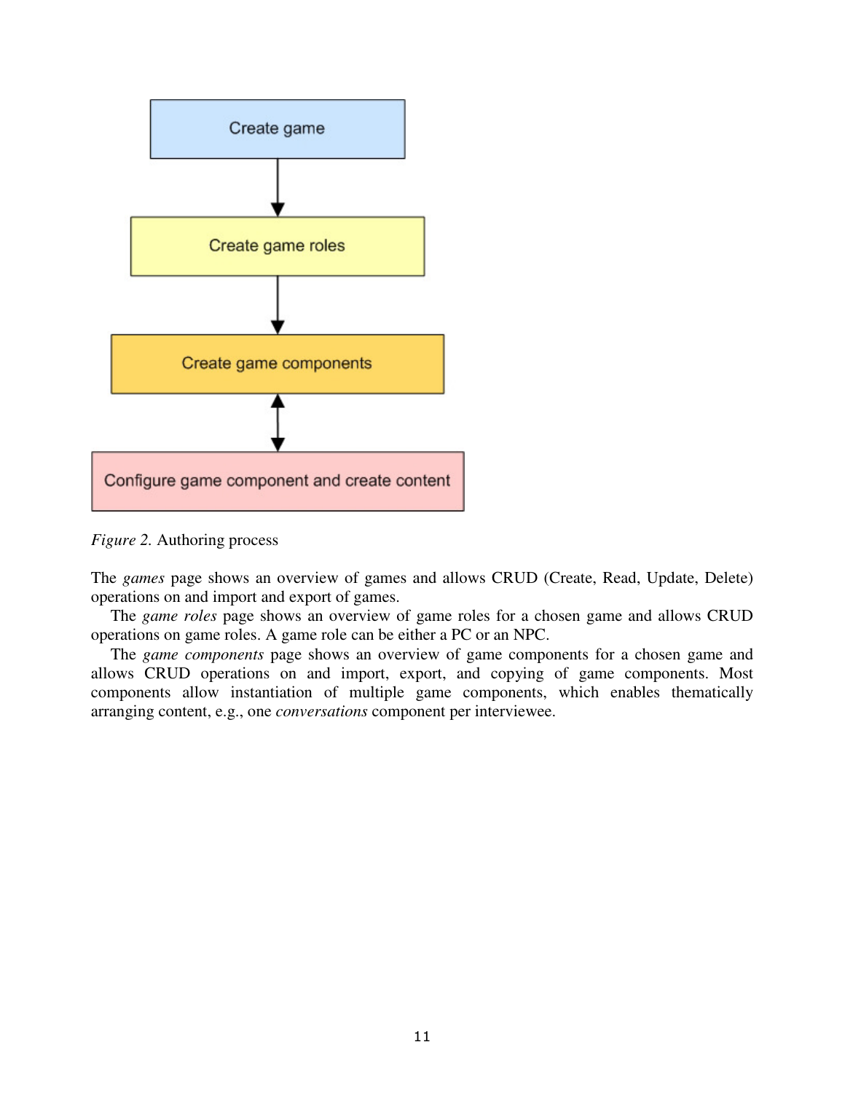

*Figure 2.* Authoring process

The *games* page shows an overview of games and allows CRUD (Create, Read, Update, Delete) operations on and import and export of games.

The *game roles* page shows an overview of game roles for a chosen game and allows CRUD operations on game roles. A game role can be either a PC or an NPC.

The *game components* page shows an overview of game components for a chosen game and allows CRUD operations on and import, export, and copying of game components. Most components allow instantiation of multiple game components, which enables thematically arranging content, e.g., one *conversations* component per interviewee.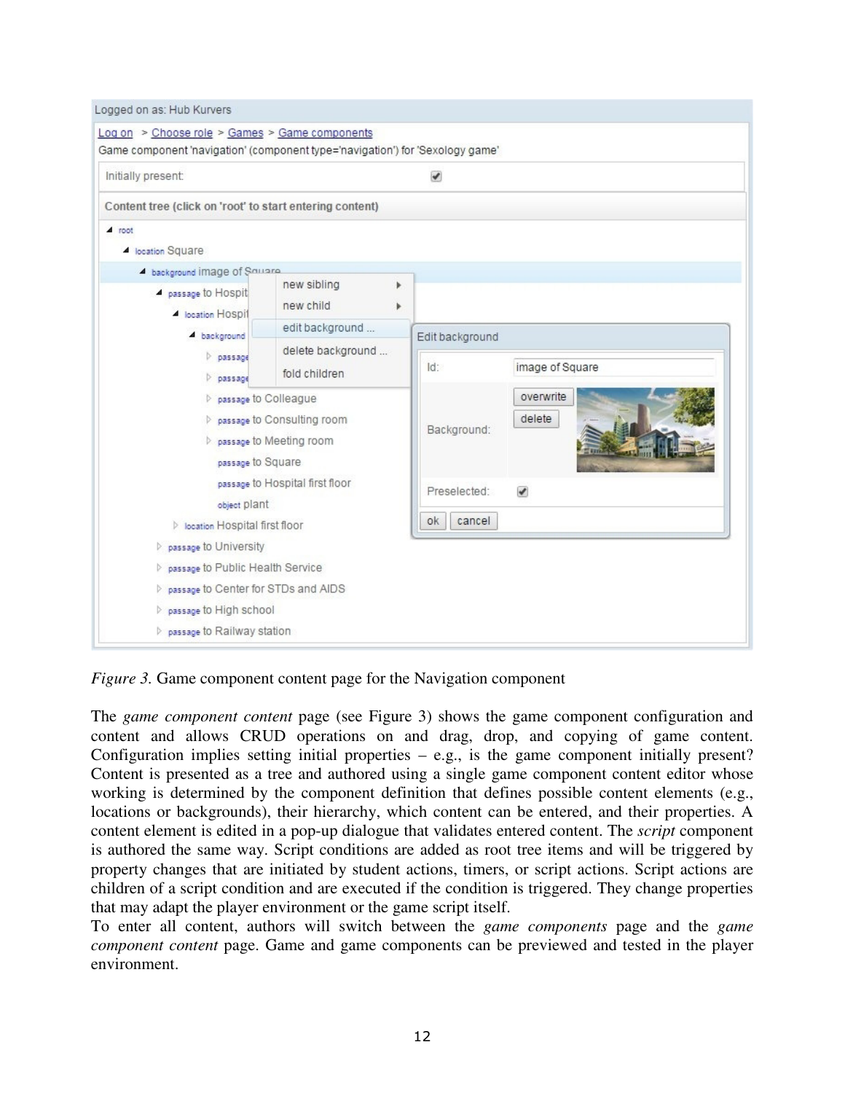Logged on as: Hub Kurvers

| Initially present:                                                                                 |                                    | $\checkmark$    |                     |  |
|----------------------------------------------------------------------------------------------------|------------------------------------|-----------------|---------------------|--|
| Content tree (click on 'root' to start entering content)                                           |                                    |                 |                     |  |
| $1$ root                                                                                           |                                    |                 |                     |  |
| <b>4</b> location Square                                                                           |                                    |                 |                     |  |
| A background image of Square<br>passage to Hospit<br><b>A</b> location HOSDI                       | new sibling<br>Þ<br>new child<br>b |                 |                     |  |
| background                                                                                         | edit background                    | Edit background |                     |  |
| passage<br>$\rangle$ passage                                                                       | delete background<br>fold children | Id:             | image of Square     |  |
| passage to Colleague<br>passage to Consulting room<br>passage to Meeting room<br>passage to Square |                                    | Background:     | overwrite<br>delete |  |
|                                                                                                    | passage to Hospital first floor    | Preselected:    | ✔                   |  |
| object plant<br><b>Displace Hospital first floor</b>                                               |                                    | cancel<br>ok    |                     |  |
| passage to University                                                                              |                                    |                 |                     |  |
| passage to Public Health Service                                                                   |                                    |                 |                     |  |
| passage to Center for STDs and AIDS                                                                |                                    |                 |                     |  |
| passage to High school                                                                             |                                    |                 |                     |  |
| $\triangleright$ passage to Railway station                                                        |                                    |                 |                     |  |

*Figure 3.* Game component content page for the Navigation component

The *game component content* page (see Figure 3) shows the game component configuration and content and allows CRUD operations on and drag, drop, and copying of game content. Configuration implies setting initial properties – e.g., is the game component initially present? Content is presented as a tree and authored using a single game component content editor whose working is determined by the component definition that defines possible content elements (e.g., locations or backgrounds), their hierarchy, which content can be entered, and their properties. A content element is edited in a pop-up dialogue that validates entered content. The *script* component is authored the same way. Script conditions are added as root tree items and will be triggered by property changes that are initiated by student actions, timers, or script actions. Script actions are children of a script condition and are executed if the condition is triggered. They change properties that may adapt the player environment or the game script itself.

To enter all content, authors will switch between the *game components* page and the *game component content* page. Game and game components can be previewed and tested in the player environment.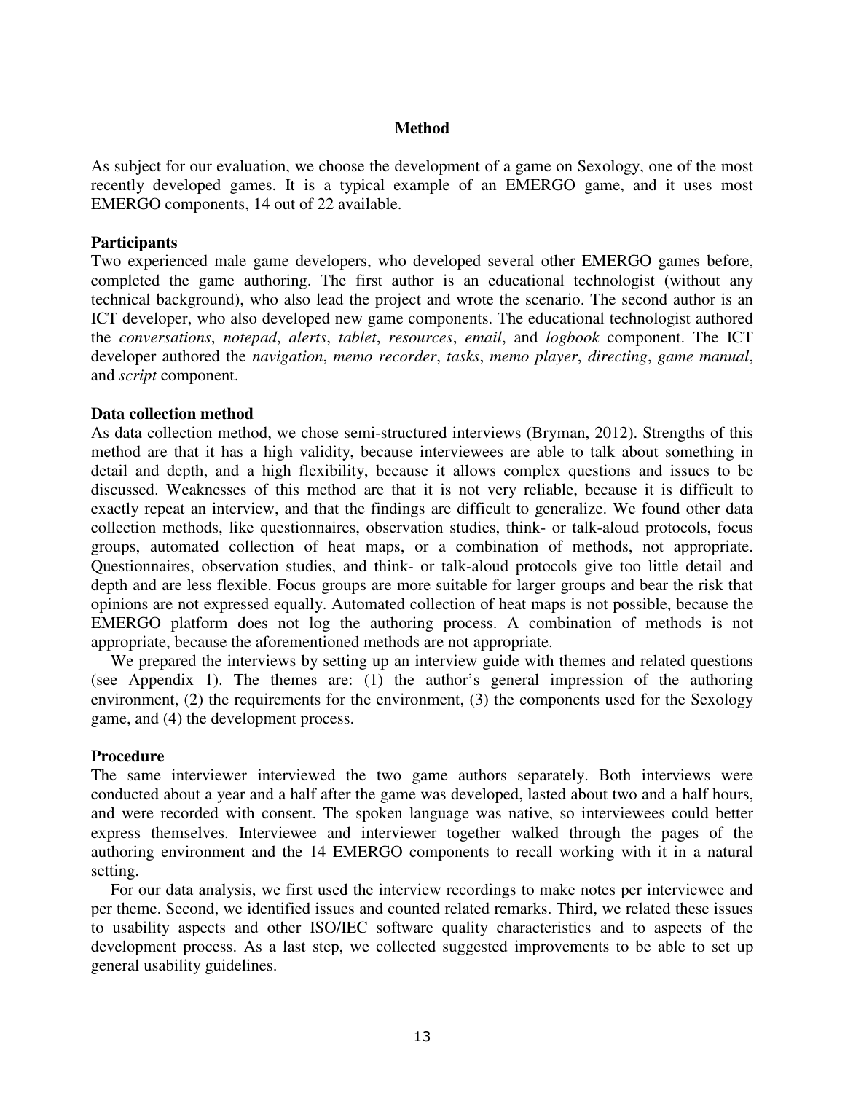### **Method**

As subject for our evaluation, we choose the development of a game on Sexology, one of the most recently developed games. It is a typical example of an EMERGO game, and it uses most EMERGO components, 14 out of 22 available.

### **Participants**

Two experienced male game developers, who developed several other EMERGO games before, completed the game authoring. The first author is an educational technologist (without any technical background), who also lead the project and wrote the scenario. The second author is an ICT developer, who also developed new game components. The educational technologist authored the *conversations*, *notepad*, *alerts*, *tablet*, *resources*, *email*, and *logbook* component. The ICT developer authored the *navigation*, *memo recorder*, *tasks*, *memo player*, *directing*, *game manual*, and *script* component.

## **Data collection method**

As data collection method, we chose semi-structured interviews (Bryman, 2012). Strengths of this method are that it has a high validity, because interviewees are able to talk about something in detail and depth, and a high flexibility, because it allows complex questions and issues to be discussed. Weaknesses of this method are that it is not very reliable, because it is difficult to exactly repeat an interview, and that the findings are difficult to generalize. We found other data collection methods, like questionnaires, observation studies, think- or talk-aloud protocols, focus groups, automated collection of heat maps, or a combination of methods, not appropriate. Questionnaires, observation studies, and think- or talk-aloud protocols give too little detail and depth and are less flexible. Focus groups are more suitable for larger groups and bear the risk that opinions are not expressed equally. Automated collection of heat maps is not possible, because the EMERGO platform does not log the authoring process. A combination of methods is not appropriate, because the aforementioned methods are not appropriate.

We prepared the interviews by setting up an interview guide with themes and related questions (see Appendix 1). The themes are: (1) the author's general impression of the authoring environment, (2) the requirements for the environment, (3) the components used for the Sexology game, and (4) the development process.

### **Procedure**

The same interviewer interviewed the two game authors separately. Both interviews were conducted about a year and a half after the game was developed, lasted about two and a half hours, and were recorded with consent. The spoken language was native, so interviewees could better express themselves. Interviewee and interviewer together walked through the pages of the authoring environment and the 14 EMERGO components to recall working with it in a natural setting.

For our data analysis, we first used the interview recordings to make notes per interviewee and per theme. Second, we identified issues and counted related remarks. Third, we related these issues to usability aspects and other ISO/IEC software quality characteristics and to aspects of the development process. As a last step, we collected suggested improvements to be able to set up general usability guidelines.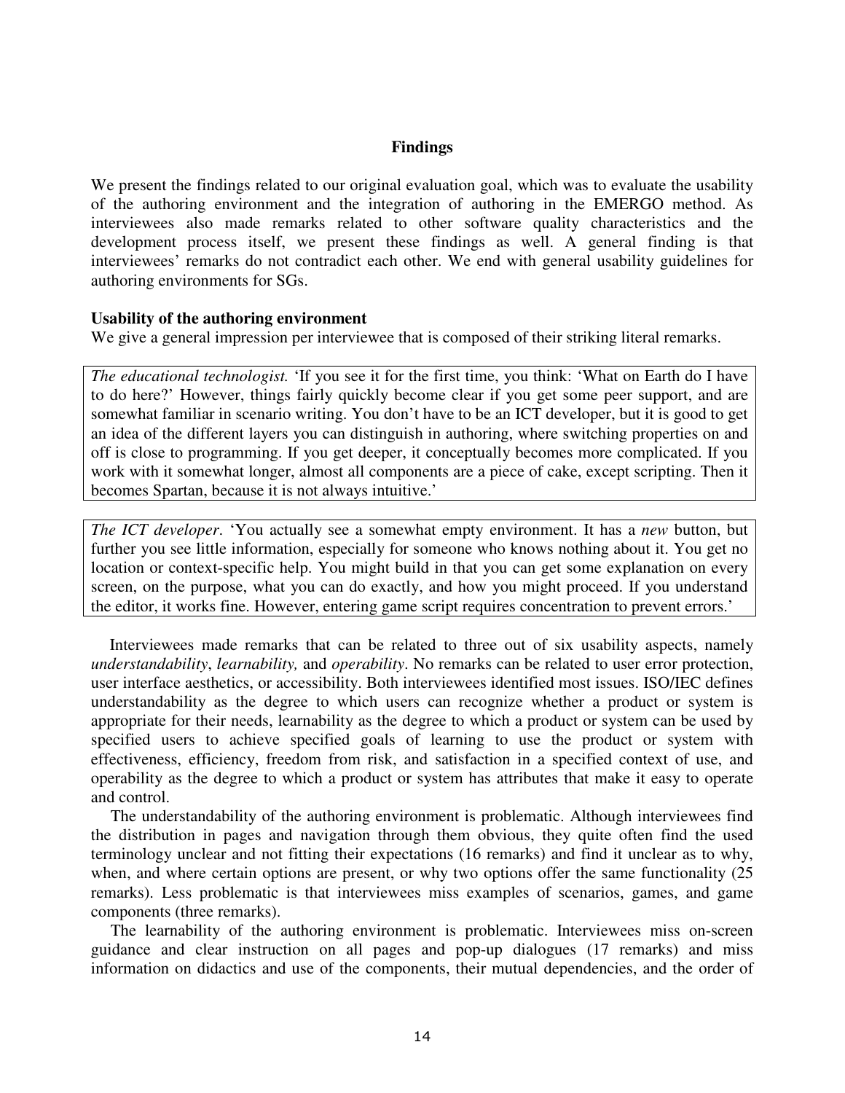#### **Findings**

We present the findings related to our original evaluation goal, which was to evaluate the usability of the authoring environment and the integration of authoring in the EMERGO method. As interviewees also made remarks related to other software quality characteristics and the development process itself, we present these findings as well. A general finding is that interviewees' remarks do not contradict each other. We end with general usability guidelines for authoring environments for SGs.

### **Usability of the authoring environment**

We give a general impression per interviewee that is composed of their striking literal remarks.

*The educational technologist.* 'If you see it for the first time, you think: 'What on Earth do I have to do here?' However, things fairly quickly become clear if you get some peer support, and are somewhat familiar in scenario writing. You don't have to be an ICT developer, but it is good to get an idea of the different layers you can distinguish in authoring, where switching properties on and off is close to programming. If you get deeper, it conceptually becomes more complicated. If you work with it somewhat longer, almost all components are a piece of cake, except scripting. Then it becomes Spartan, because it is not always intuitive.'

*The ICT developer*. 'You actually see a somewhat empty environment. It has a *new* button, but further you see little information, especially for someone who knows nothing about it. You get no location or context-specific help. You might build in that you can get some explanation on every screen, on the purpose, what you can do exactly, and how you might proceed. If you understand the editor, it works fine. However, entering game script requires concentration to prevent errors.'

Interviewees made remarks that can be related to three out of six usability aspects, namely *understandability*, *learnability,* and *operability*. No remarks can be related to user error protection, user interface aesthetics, or accessibility. Both interviewees identified most issues. ISO/IEC defines understandability as the degree to which users can recognize whether a product or system is appropriate for their needs, learnability as the degree to which a product or system can be used by specified users to achieve specified goals of learning to use the product or system with effectiveness, efficiency, freedom from risk, and satisfaction in a specified context of use, and operability as the degree to which a product or system has attributes that make it easy to operate and control.

The understandability of the authoring environment is problematic. Although interviewees find the distribution in pages and navigation through them obvious, they quite often find the used terminology unclear and not fitting their expectations (16 remarks) and find it unclear as to why, when, and where certain options are present, or why two options offer the same functionality (25) remarks). Less problematic is that interviewees miss examples of scenarios, games, and game components (three remarks).

The learnability of the authoring environment is problematic. Interviewees miss on-screen guidance and clear instruction on all pages and pop-up dialogues (17 remarks) and miss information on didactics and use of the components, their mutual dependencies, and the order of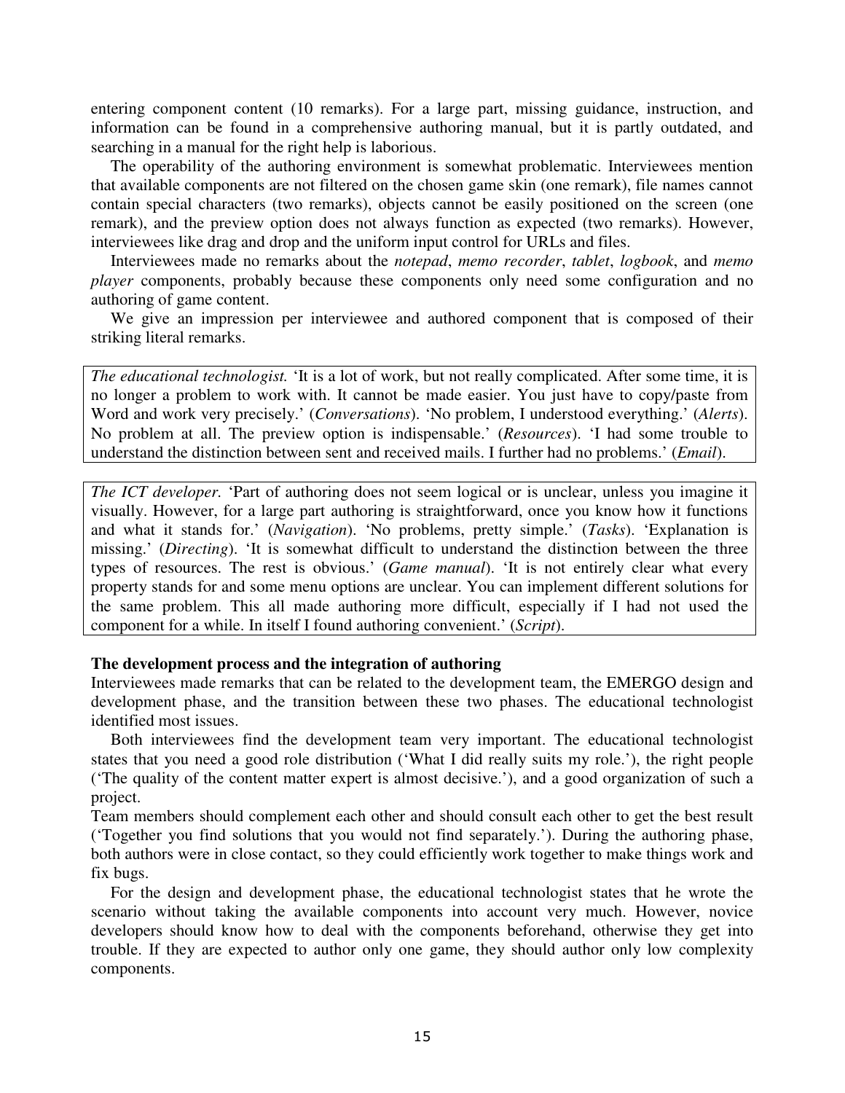entering component content (10 remarks). For a large part, missing guidance, instruction, and information can be found in a comprehensive authoring manual, but it is partly outdated, and searching in a manual for the right help is laborious.

The operability of the authoring environment is somewhat problematic. Interviewees mention that available components are not filtered on the chosen game skin (one remark), file names cannot contain special characters (two remarks), objects cannot be easily positioned on the screen (one remark), and the preview option does not always function as expected (two remarks). However, interviewees like drag and drop and the uniform input control for URLs and files.

Interviewees made no remarks about the *notepad*, *memo recorder*, *tablet*, *logbook*, and *memo player* components, probably because these components only need some configuration and no authoring of game content.

We give an impression per interviewee and authored component that is composed of their striking literal remarks.

*The educational technologist.* 'It is a lot of work, but not really complicated. After some time, it is no longer a problem to work with. It cannot be made easier. You just have to copy/paste from Word and work very precisely.' (*Conversations*). 'No problem, I understood everything.' (*Alerts*). No problem at all. The preview option is indispensable.' (*Resources*). 'I had some trouble to understand the distinction between sent and received mails. I further had no problems.' (*Email*).

*The ICT developer.* 'Part of authoring does not seem logical or is unclear, unless you imagine it visually. However, for a large part authoring is straightforward, once you know how it functions and what it stands for.' (*Navigation*). 'No problems, pretty simple.' (*Tasks*). 'Explanation is missing.' (*Directing*). 'It is somewhat difficult to understand the distinction between the three types of resources. The rest is obvious.' (*Game manual*). 'It is not entirely clear what every property stands for and some menu options are unclear. You can implement different solutions for the same problem. This all made authoring more difficult, especially if I had not used the component for a while. In itself I found authoring convenient.' (*Script*).

### **The development process and the integration of authoring**

Interviewees made remarks that can be related to the development team, the EMERGO design and development phase, and the transition between these two phases. The educational technologist identified most issues.

Both interviewees find the development team very important. The educational technologist states that you need a good role distribution ('What I did really suits my role.'), the right people ('The quality of the content matter expert is almost decisive.'), and a good organization of such a project.

Team members should complement each other and should consult each other to get the best result ('Together you find solutions that you would not find separately.'). During the authoring phase, both authors were in close contact, so they could efficiently work together to make things work and fix bugs.

For the design and development phase, the educational technologist states that he wrote the scenario without taking the available components into account very much. However, novice developers should know how to deal with the components beforehand, otherwise they get into trouble. If they are expected to author only one game, they should author only low complexity components.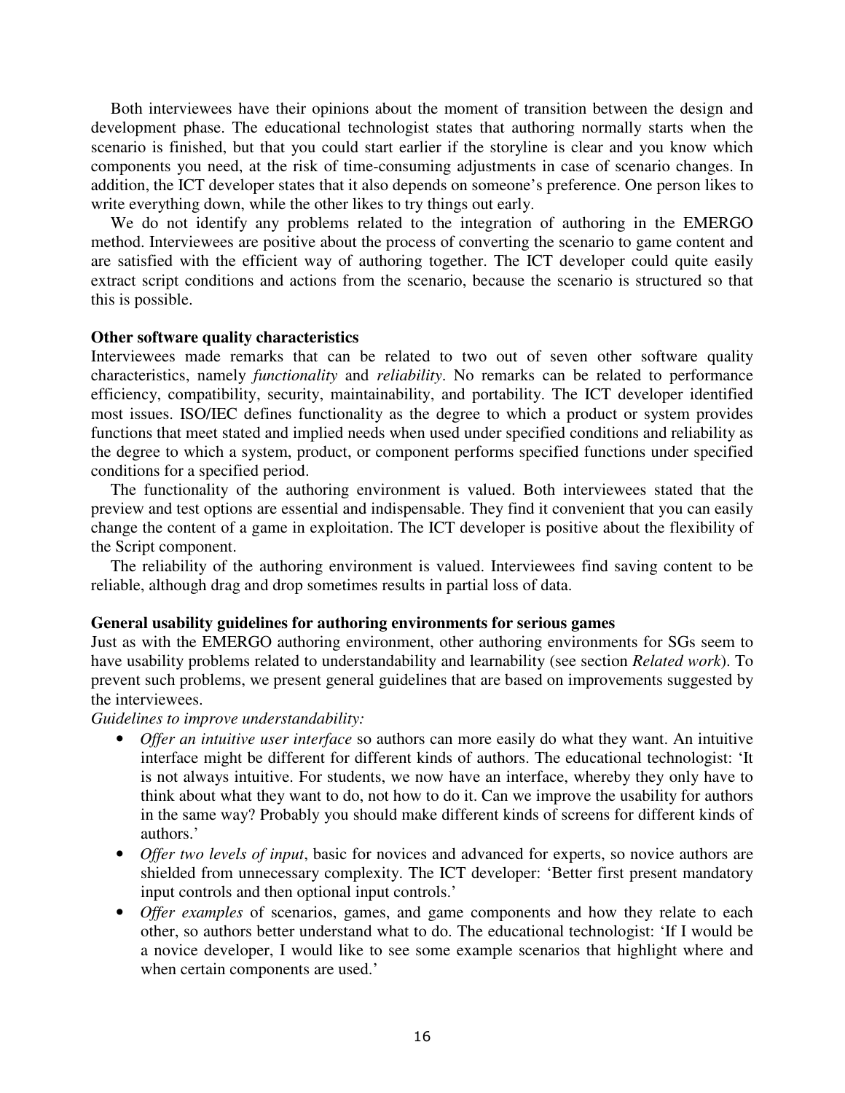Both interviewees have their opinions about the moment of transition between the design and development phase. The educational technologist states that authoring normally starts when the scenario is finished, but that you could start earlier if the storyline is clear and you know which components you need, at the risk of time-consuming adjustments in case of scenario changes. In addition, the ICT developer states that it also depends on someone's preference. One person likes to write everything down, while the other likes to try things out early.

We do not identify any problems related to the integration of authoring in the EMERGO method. Interviewees are positive about the process of converting the scenario to game content and are satisfied with the efficient way of authoring together. The ICT developer could quite easily extract script conditions and actions from the scenario, because the scenario is structured so that this is possible.

### **Other software quality characteristics**

Interviewees made remarks that can be related to two out of seven other software quality characteristics, namely *functionality* and *reliability*. No remarks can be related to performance efficiency, compatibility, security, maintainability, and portability. The ICT developer identified most issues. ISO/IEC defines functionality as the degree to which a product or system provides functions that meet stated and implied needs when used under specified conditions and reliability as the degree to which a system, product, or component performs specified functions under specified conditions for a specified period.

The functionality of the authoring environment is valued. Both interviewees stated that the preview and test options are essential and indispensable. They find it convenient that you can easily change the content of a game in exploitation. The ICT developer is positive about the flexibility of the Script component.

The reliability of the authoring environment is valued. Interviewees find saving content to be reliable, although drag and drop sometimes results in partial loss of data.

# **General usability guidelines for authoring environments for serious games**

Just as with the EMERGO authoring environment, other authoring environments for SGs seem to have usability problems related to understandability and learnability (see section *Related work*). To prevent such problems, we present general guidelines that are based on improvements suggested by the interviewees.

### *Guidelines to improve understandability:*

- *Offer an intuitive user interface* so authors can more easily do what they want. An intuitive interface might be different for different kinds of authors. The educational technologist: 'It is not always intuitive. For students, we now have an interface, whereby they only have to think about what they want to do, not how to do it. Can we improve the usability for authors in the same way? Probably you should make different kinds of screens for different kinds of authors.'
- *Offer two levels of input*, basic for novices and advanced for experts, so novice authors are shielded from unnecessary complexity. The ICT developer: 'Better first present mandatory input controls and then optional input controls.'
- *Offer examples* of scenarios, games, and game components and how they relate to each other, so authors better understand what to do. The educational technologist: 'If I would be a novice developer, I would like to see some example scenarios that highlight where and when certain components are used.'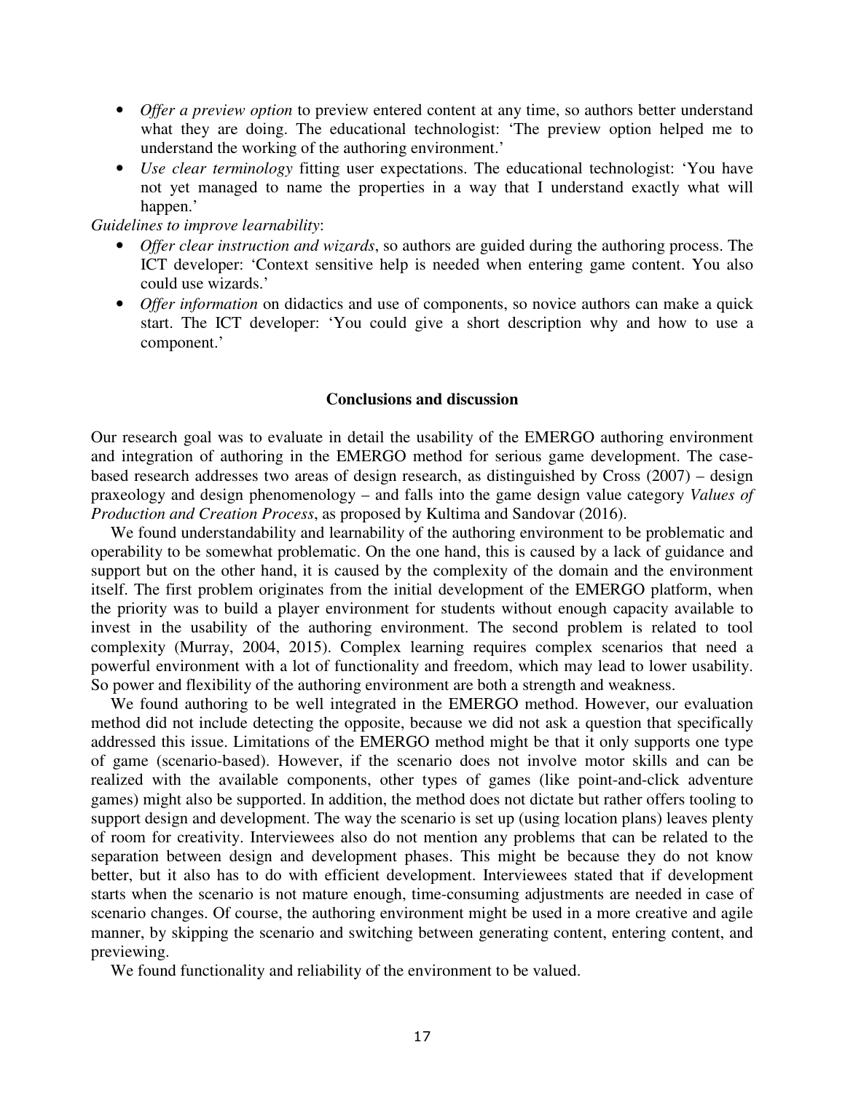- *Offer a preview option* to preview entered content at any time, so authors better understand what they are doing. The educational technologist: 'The preview option helped me to understand the working of the authoring environment.'
- *Use clear terminology* fitting user expectations. The educational technologist: 'You have not yet managed to name the properties in a way that I understand exactly what will happen.'

*Guidelines to improve learnability*:

- *Offer clear instruction and wizards*, so authors are guided during the authoring process. The ICT developer: 'Context sensitive help is needed when entering game content. You also could use wizards.'
- *Offer information* on didactics and use of components, so novice authors can make a quick start. The ICT developer: 'You could give a short description why and how to use a component.'

#### **Conclusions and discussion**

Our research goal was to evaluate in detail the usability of the EMERGO authoring environment and integration of authoring in the EMERGO method for serious game development. The casebased research addresses two areas of design research, as distinguished by Cross (2007) – design praxeology and design phenomenology – and falls into the game design value category *Values of Production and Creation Process*, as proposed by Kultima and Sandovar (2016).

We found understandability and learnability of the authoring environment to be problematic and operability to be somewhat problematic. On the one hand, this is caused by a lack of guidance and support but on the other hand, it is caused by the complexity of the domain and the environment itself. The first problem originates from the initial development of the EMERGO platform, when the priority was to build a player environment for students without enough capacity available to invest in the usability of the authoring environment. The second problem is related to tool complexity (Murray, 2004, 2015). Complex learning requires complex scenarios that need a powerful environment with a lot of functionality and freedom, which may lead to lower usability. So power and flexibility of the authoring environment are both a strength and weakness.

We found authoring to be well integrated in the EMERGO method. However, our evaluation method did not include detecting the opposite, because we did not ask a question that specifically addressed this issue. Limitations of the EMERGO method might be that it only supports one type of game (scenario-based). However, if the scenario does not involve motor skills and can be realized with the available components, other types of games (like point-and-click adventure games) might also be supported. In addition, the method does not dictate but rather offers tooling to support design and development. The way the scenario is set up (using location plans) leaves plenty of room for creativity. Interviewees also do not mention any problems that can be related to the separation between design and development phases. This might be because they do not know better, but it also has to do with efficient development. Interviewees stated that if development starts when the scenario is not mature enough, time-consuming adjustments are needed in case of scenario changes. Of course, the authoring environment might be used in a more creative and agile manner, by skipping the scenario and switching between generating content, entering content, and previewing.

We found functionality and reliability of the environment to be valued.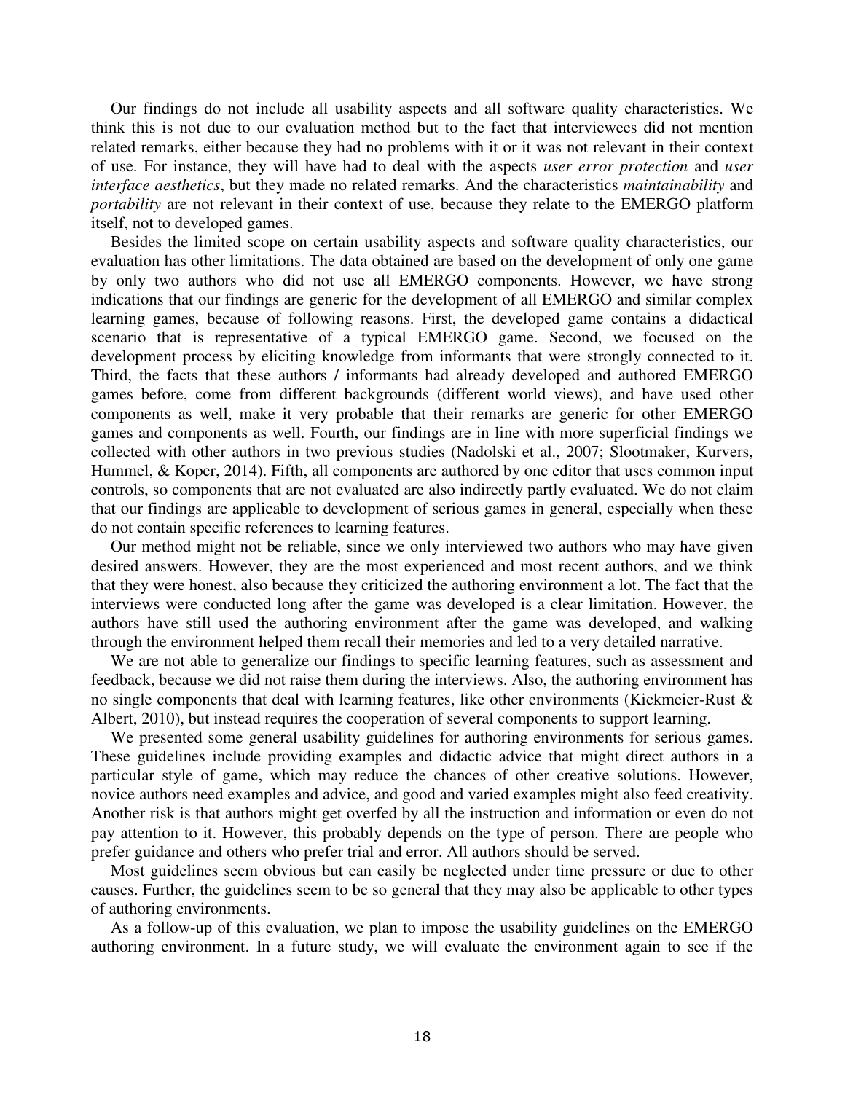Our findings do not include all usability aspects and all software quality characteristics. We think this is not due to our evaluation method but to the fact that interviewees did not mention related remarks, either because they had no problems with it or it was not relevant in their context of use. For instance, they will have had to deal with the aspects *user error protection* and *user interface aesthetics*, but they made no related remarks. And the characteristics *maintainability* and *portability* are not relevant in their context of use, because they relate to the EMERGO platform itself, not to developed games.

Besides the limited scope on certain usability aspects and software quality characteristics, our evaluation has other limitations. The data obtained are based on the development of only one game by only two authors who did not use all EMERGO components. However, we have strong indications that our findings are generic for the development of all EMERGO and similar complex learning games, because of following reasons. First, the developed game contains a didactical scenario that is representative of a typical EMERGO game. Second, we focused on the development process by eliciting knowledge from informants that were strongly connected to it. Third, the facts that these authors / informants had already developed and authored EMERGO games before, come from different backgrounds (different world views), and have used other components as well, make it very probable that their remarks are generic for other EMERGO games and components as well. Fourth, our findings are in line with more superficial findings we collected with other authors in two previous studies (Nadolski et al., 2007; Slootmaker, Kurvers, Hummel, & Koper, 2014). Fifth, all components are authored by one editor that uses common input controls, so components that are not evaluated are also indirectly partly evaluated. We do not claim that our findings are applicable to development of serious games in general, especially when these do not contain specific references to learning features.

Our method might not be reliable, since we only interviewed two authors who may have given desired answers. However, they are the most experienced and most recent authors, and we think that they were honest, also because they criticized the authoring environment a lot. The fact that the interviews were conducted long after the game was developed is a clear limitation. However, the authors have still used the authoring environment after the game was developed, and walking through the environment helped them recall their memories and led to a very detailed narrative.

We are not able to generalize our findings to specific learning features, such as assessment and feedback, because we did not raise them during the interviews. Also, the authoring environment has no single components that deal with learning features, like other environments (Kickmeier-Rust & Albert, 2010), but instead requires the cooperation of several components to support learning.

We presented some general usability guidelines for authoring environments for serious games. These guidelines include providing examples and didactic advice that might direct authors in a particular style of game, which may reduce the chances of other creative solutions. However, novice authors need examples and advice, and good and varied examples might also feed creativity. Another risk is that authors might get overfed by all the instruction and information or even do not pay attention to it. However, this probably depends on the type of person. There are people who prefer guidance and others who prefer trial and error. All authors should be served.

Most guidelines seem obvious but can easily be neglected under time pressure or due to other causes. Further, the guidelines seem to be so general that they may also be applicable to other types of authoring environments.

As a follow-up of this evaluation, we plan to impose the usability guidelines on the EMERGO authoring environment. In a future study, we will evaluate the environment again to see if the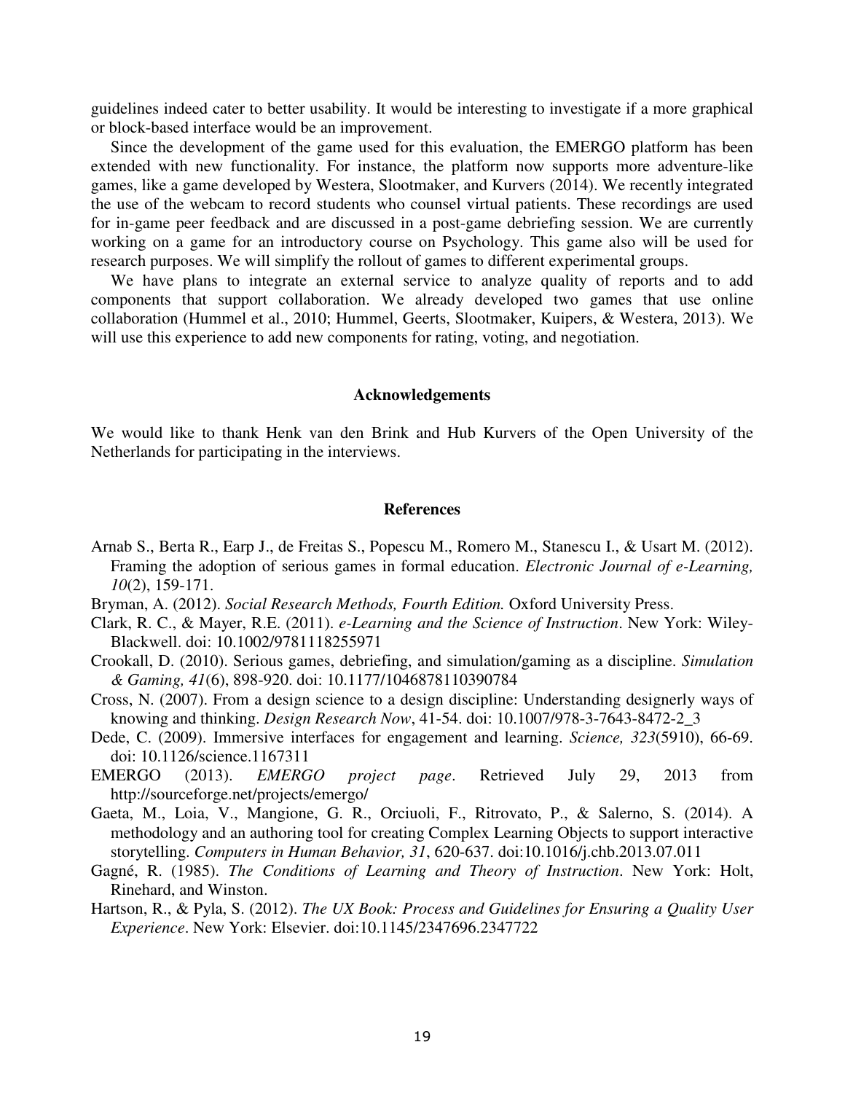guidelines indeed cater to better usability. It would be interesting to investigate if a more graphical or block-based interface would be an improvement.

Since the development of the game used for this evaluation, the EMERGO platform has been extended with new functionality. For instance, the platform now supports more adventure-like games, like a game developed by Westera, Slootmaker, and Kurvers (2014). We recently integrated the use of the webcam to record students who counsel virtual patients. These recordings are used for in-game peer feedback and are discussed in a post-game debriefing session. We are currently working on a game for an introductory course on Psychology. This game also will be used for research purposes. We will simplify the rollout of games to different experimental groups.

We have plans to integrate an external service to analyze quality of reports and to add components that support collaboration. We already developed two games that use online collaboration (Hummel et al., 2010; Hummel, Geerts, Slootmaker, Kuipers, & Westera, 2013). We will use this experience to add new components for rating, voting, and negotiation.

#### **Acknowledgements**

We would like to thank Henk van den Brink and Hub Kurvers of the Open University of the Netherlands for participating in the interviews.

#### **References**

- Arnab S., Berta R., Earp J., de Freitas S., Popescu M., Romero M., Stanescu I., & Usart M. (2012). Framing the adoption of serious games in formal education. *Electronic Journal of e-Learning, 10*(2), 159-171.
- Bryman, A. (2012). *Social Research Methods, Fourth Edition.* Oxford University Press.
- Clark, R. C., & Mayer, R.E. (2011). *e-Learning and the Science of Instruction*. New York: Wiley-Blackwell. doi: 10.1002/9781118255971
- Crookall, D. (2010). Serious games, debriefing, and simulation/gaming as a discipline. *Simulation & Gaming, 41*(6), 898-920. doi: 10.1177/1046878110390784
- Cross, N. (2007). From a design science to a design discipline: Understanding designerly ways of knowing and thinking. *Design Research Now*, 41-54. doi: 10.1007/978-3-7643-8472-2\_3
- Dede, C. (2009). Immersive interfaces for engagement and learning. *Science, 323*(5910), 66-69. doi: 10.1126/science.1167311
- EMERGO (2013). *EMERGO project page*. Retrieved July 29, 2013 from http://sourceforge.net/projects/emergo/
- Gaeta, M., Loia, V., Mangione, G. R., Orciuoli, F., Ritrovato, P., & Salerno, S. (2014). A methodology and an authoring tool for creating Complex Learning Objects to support interactive storytelling. *Computers in Human Behavior, 31*, 620-637. doi:10.1016/j.chb.2013.07.011
- Gagné, R. (1985). *The Conditions of Learning and Theory of Instruction*. New York: Holt, Rinehard, and Winston.
- Hartson, R., & Pyla, S. (2012). *The UX Book: Process and Guidelines for Ensuring a Quality User Experience*. New York: Elsevier. doi:10.1145/2347696.2347722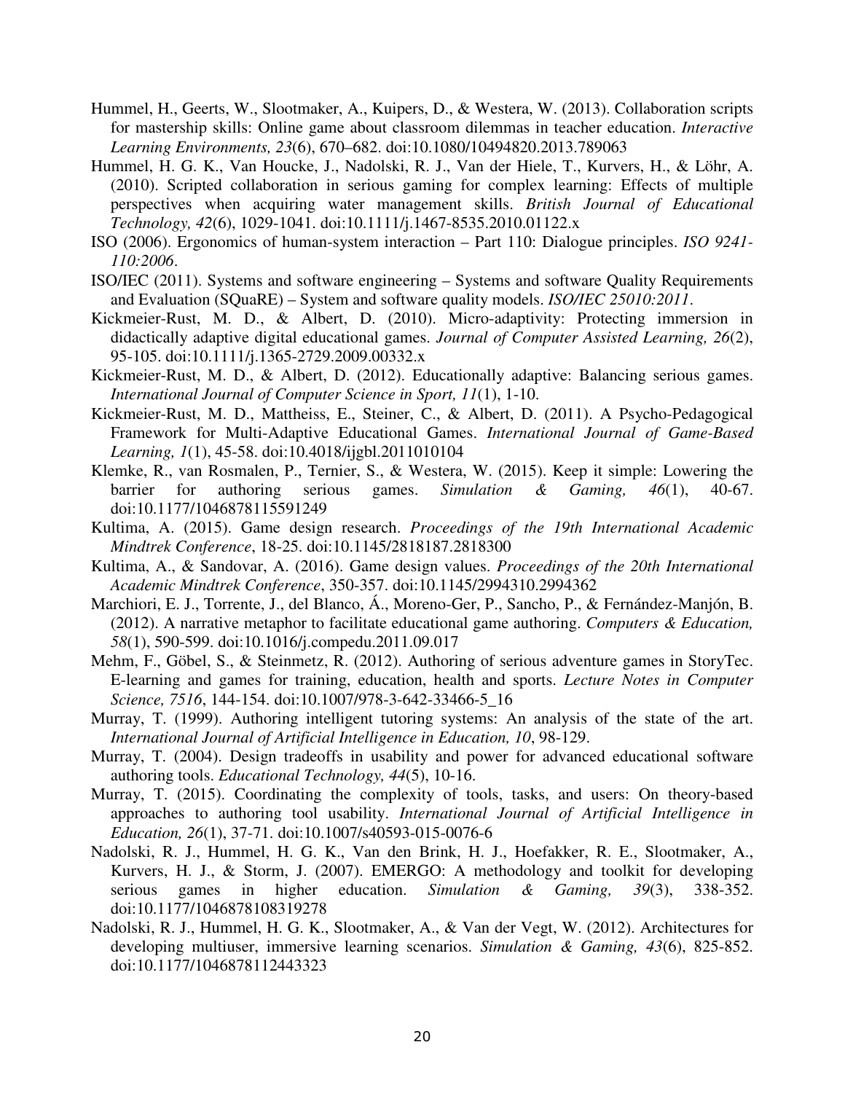- Hummel, H., Geerts, W., Slootmaker, A., Kuipers, D., & Westera, W. (2013). Collaboration scripts for mastership skills: Online game about classroom dilemmas in teacher education. *Interactive Learning Environments, 23*(6), 670–682. doi:10.1080/10494820.2013.789063
- Hummel, H. G. K., Van Houcke, J., Nadolski, R. J., Van der Hiele, T., Kurvers, H., & Löhr, A. (2010). Scripted collaboration in serious gaming for complex learning: Effects of multiple perspectives when acquiring water management skills. *British Journal of Educational Technology, 42*(6), 1029-1041. doi:10.1111/j.1467-8535.2010.01122.x
- ISO (2006). Ergonomics of human-system interaction Part 110: Dialogue principles. *ISO 9241- 110:2006*.
- ISO/IEC (2011). Systems and software engineering Systems and software Quality Requirements and Evaluation (SQuaRE) – System and software quality models. *ISO/IEC 25010:2011*.
- Kickmeier-Rust, M. D., & Albert, D. (2010). Micro-adaptivity: Protecting immersion in didactically adaptive digital educational games. *Journal of Computer Assisted Learning, 26*(2), 95-105. doi:10.1111/j.1365-2729.2009.00332.x
- Kickmeier-Rust, M. D., & Albert, D. (2012). Educationally adaptive: Balancing serious games. *International Journal of Computer Science in Sport, 11*(1), 1-10.
- Kickmeier-Rust, M. D., Mattheiss, E., Steiner, C., & Albert, D. (2011). A Psycho-Pedagogical Framework for Multi-Adaptive Educational Games. *International Journal of Game-Based Learning, 1*(1), 45-58. doi:10.4018/ijgbl.2011010104
- Klemke, R., van Rosmalen, P., Ternier, S., & Westera, W. (2015). Keep it simple: Lowering the barrier for authoring serious games. *Simulation & Gaming, 46*(1), 40-67. doi:10.1177/1046878115591249
- Kultima, A. (2015). Game design research. *Proceedings of the 19th International Academic Mindtrek Conference*, 18-25. doi:10.1145/2818187.2818300
- Kultima, A., & Sandovar, A. (2016). Game design values. *Proceedings of the 20th International Academic Mindtrek Conference*, 350-357. doi:10.1145/2994310.2994362
- Marchiori, E. J., Torrente, J., del Blanco, Á., Moreno-Ger, P., Sancho, P., & Fernández-Manjón, B. (2012). A narrative metaphor to facilitate educational game authoring. *Computers & Education, 58*(1), 590-599. doi:10.1016/j.compedu.2011.09.017
- Mehm, F., Göbel, S., & Steinmetz, R. (2012). Authoring of serious adventure games in StoryTec. E-learning and games for training, education, health and sports. *Lecture Notes in Computer Science, 7516*, 144-154. doi:10.1007/978-3-642-33466-5\_16
- Murray, T. (1999). Authoring intelligent tutoring systems: An analysis of the state of the art. *International Journal of Artificial Intelligence in Education, 10*, 98-129.
- Murray, T. (2004). Design tradeoffs in usability and power for advanced educational software authoring tools. *Educational Technology, 44*(5), 10-16.
- Murray, T. (2015). Coordinating the complexity of tools, tasks, and users: On theory-based approaches to authoring tool usability. *International Journal of Artificial Intelligence in Education, 26*(1), 37-71. doi:10.1007/s40593-015-0076-6
- Nadolski, R. J., Hummel, H. G. K., Van den Brink, H. J., Hoefakker, R. E., Slootmaker, A., Kurvers, H. J., & Storm, J. (2007). EMERGO: A methodology and toolkit for developing serious games in higher education. *Simulation & Gaming, 39*(3), 338-352. doi:10.1177/1046878108319278
- Nadolski, R. J., Hummel, H. G. K., Slootmaker, A., & Van der Vegt, W. (2012). Architectures for developing multiuser, immersive learning scenarios. *Simulation & Gaming, 43*(6), 825-852. doi:10.1177/1046878112443323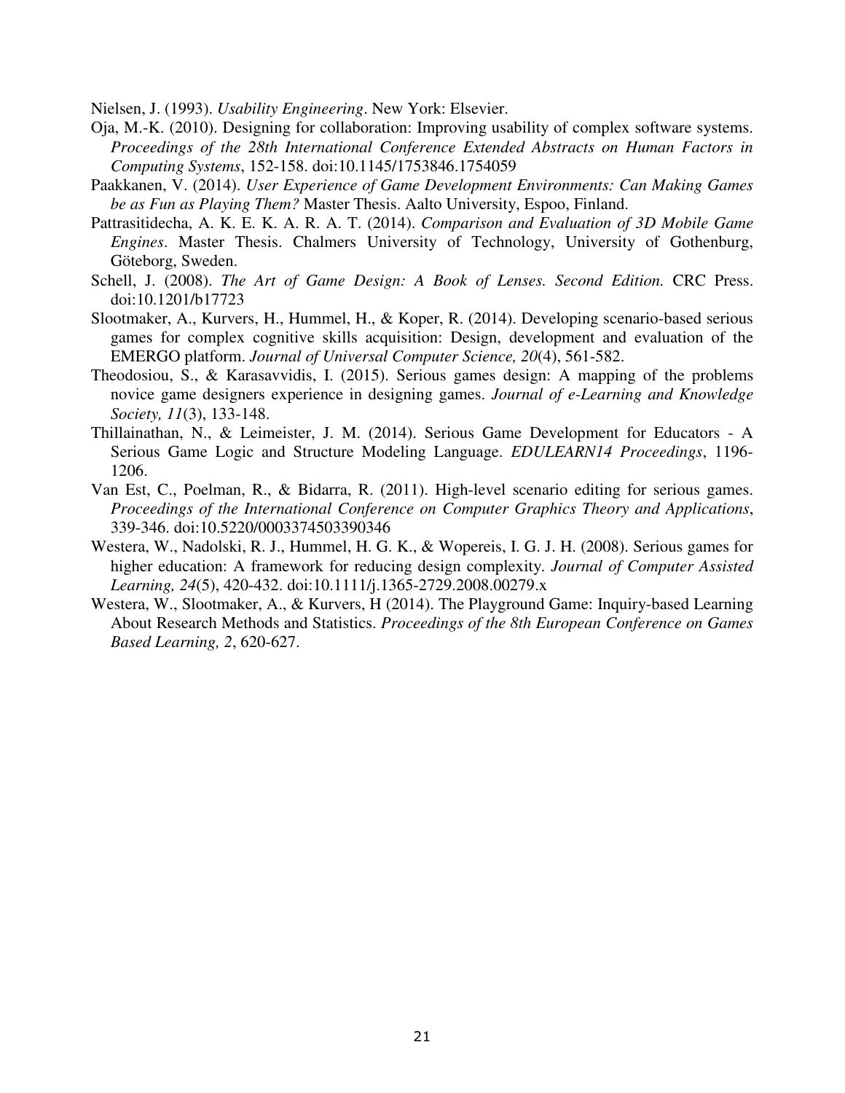Nielsen, J. (1993). *Usability Engineering*. New York: Elsevier.

- Oja, M.-K. (2010). Designing for collaboration: Improving usability of complex software systems. *Proceedings of the 28th International Conference Extended Abstracts on Human Factors in Computing Systems*, 152-158. doi:10.1145/1753846.1754059
- Paakkanen, V. (2014). *User Experience of Game Development Environments: Can Making Games be as Fun as Playing Them?* Master Thesis. Aalto University, Espoo, Finland.
- Pattrasitidecha, A. K. E. K. A. R. A. T. (2014). *Comparison and Evaluation of 3D Mobile Game Engines*. Master Thesis. Chalmers University of Technology, University of Gothenburg, Göteborg, Sweden.
- Schell, J. (2008). *The Art of Game Design: A Book of Lenses. Second Edition.* CRC Press. doi:10.1201/b17723
- Slootmaker, A., Kurvers, H., Hummel, H., & Koper, R. (2014). Developing scenario-based serious games for complex cognitive skills acquisition: Design, development and evaluation of the EMERGO platform. *Journal of Universal Computer Science, 20*(4), 561-582.
- Theodosiou, S., & Karasavvidis, I. (2015). Serious games design: A mapping of the problems novice game designers experience in designing games. *Journal of e-Learning and Knowledge Society, 11*(3), 133-148.
- Thillainathan, N., & Leimeister, J. M. (2014). Serious Game Development for Educators A Serious Game Logic and Structure Modeling Language. *EDULEARN14 Proceedings*, 1196- 1206.
- Van Est, C., Poelman, R., & Bidarra, R. (2011). High-level scenario editing for serious games. *Proceedings of the International Conference on Computer Graphics Theory and Applications*, 339-346. doi:10.5220/0003374503390346
- Westera, W., Nadolski, R. J., Hummel, H. G. K., & Wopereis, I. G. J. H. (2008). Serious games for higher education: A framework for reducing design complexity. *Journal of Computer Assisted Learning, 24*(5), 420-432. doi:10.1111/j.1365-2729.2008.00279.x
- Westera, W., Slootmaker, A., & Kurvers, H (2014). The Playground Game: Inquiry-based Learning About Research Methods and Statistics. *Proceedings of the 8th European Conference on Games Based Learning, 2*, 620-627.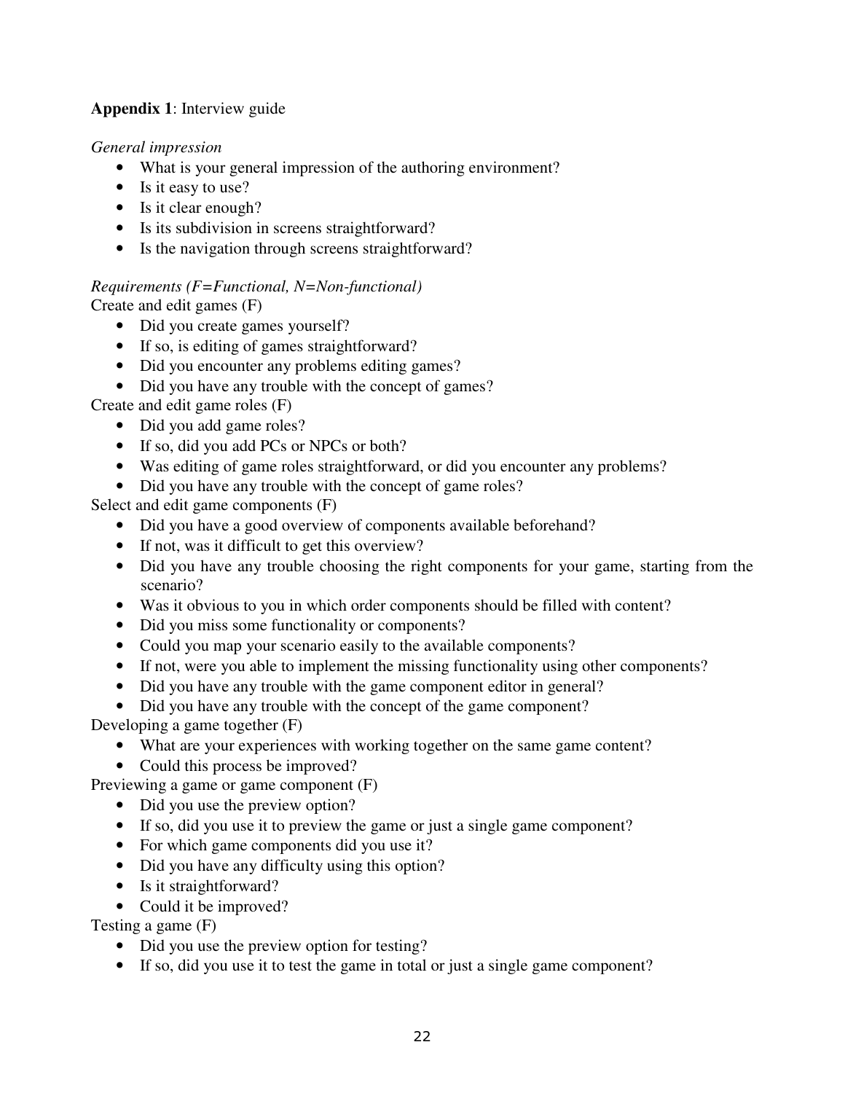# **Appendix 1**: Interview guide

*General impression* 

- What is your general impression of the authoring environment?
- Is it easy to use?
- Is it clear enough?
- Is its subdivision in screens straightforward?
- Is the navigation through screens straightforward?

# *Requirements (F=Functional, N=Non-functional)*  Create and edit games (F)

- Did you create games yourself?
- If so, is editing of games straightforward?
- Did you encounter any problems editing games?
- Did you have any trouble with the concept of games?

Create and edit game roles (F)

- Did you add game roles?
- If so, did you add PCs or NPCs or both?
- Was editing of game roles straightforward, or did you encounter any problems?
- Did you have any trouble with the concept of game roles?

Select and edit game components (F)

- Did you have a good overview of components available beforehand?
- If not, was it difficult to get this overview?
- Did you have any trouble choosing the right components for your game, starting from the scenario?
- Was it obvious to you in which order components should be filled with content?
- Did you miss some functionality or components?
- Could you map your scenario easily to the available components?
- If not, were you able to implement the missing functionality using other components?
- Did you have any trouble with the game component editor in general?
- Did you have any trouble with the concept of the game component?

Developing a game together (F)

- What are your experiences with working together on the same game content?
- Could this process be improved?

Previewing a game or game component (F)

- Did you use the preview option?
- If so, did you use it to preview the game or just a single game component?
- For which game components did you use it?
- Did you have any difficulty using this option?
- Is it straightforward?
- Could it be improved?

Testing a game (F)

- Did you use the preview option for testing?
- If so, did you use it to test the game in total or just a single game component?